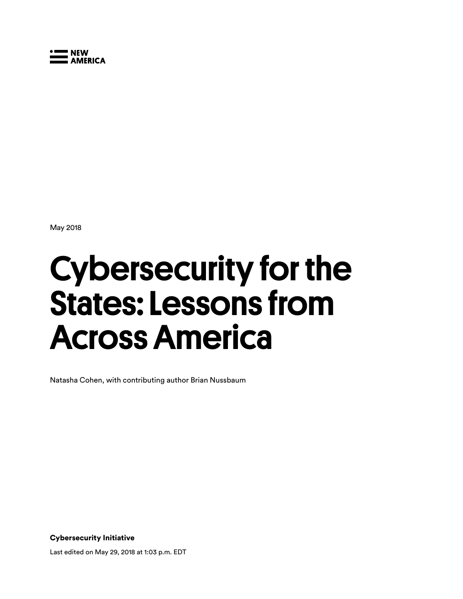

May 2018

# Cybersecurity for the States: Lessons from Across America

Natasha Cohen, with contributing author Brian Nussbaum

Cybersecurity Initiative

Last edited on May 29, 2018 at 1:03 p.m. EDT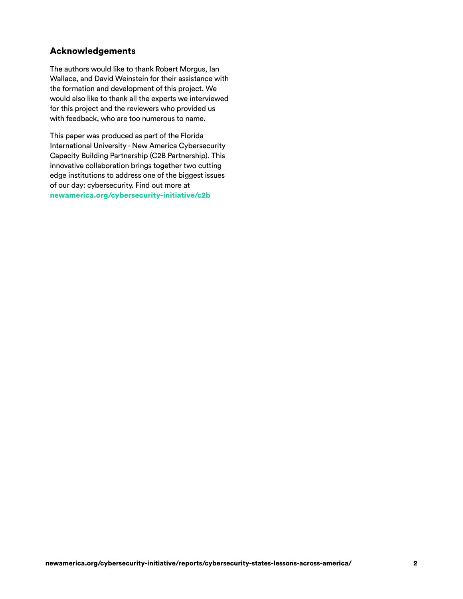# Acknowledgements

 The authors would like to thank Robert Morgus, Ian Wallace, and David Weinstein for their assistance with the formation and development of this project. We would also like to thank all the experts we interviewed for this project and the reviewers who provided us with feedback, who are too numerous to name.

 This paper was produced as part of the Florida International University - New America Cybersecurity Capacity Building Partnership (C2B Partnership). This innovative collaboration brings together two cutting edge institutions to address one of the biggest issues of our day: cybersecurity. Find out more at [newamerica.org/cybersecurity-initiative/c2b](http://newamerica.org/cybersecurity-initiative/c2b)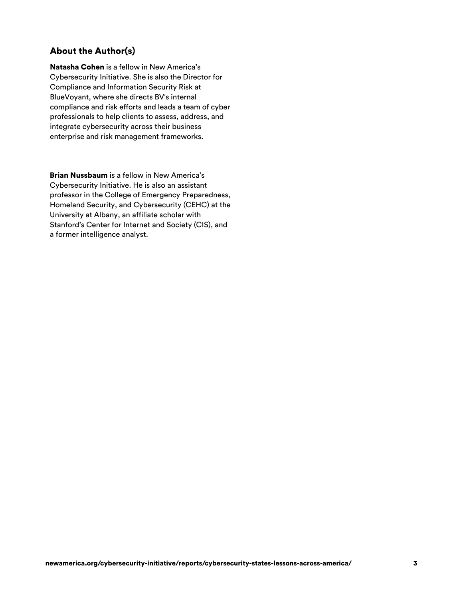# About the Author(s)

Natasha Cohen is a fellow in New America's Cybersecurity Initiative. She is also the Director for Compliance and Information Security Risk at BlueVoyant, where she directs BV's internal compliance and risk efforts and leads a team of cyber professionals to help clients to assess, address, and integrate cybersecurity across their business enterprise and risk management frameworks.

Brian Nussbaum is a fellow in New America's Cybersecurity Initiative. He is also an assistant professor in the College of Emergency Preparedness, Homeland Security, and Cybersecurity (CEHC) at the University at Albany, an affiliate scholar with Stanford's Center for Internet and Society (CIS), and a former intelligence analyst.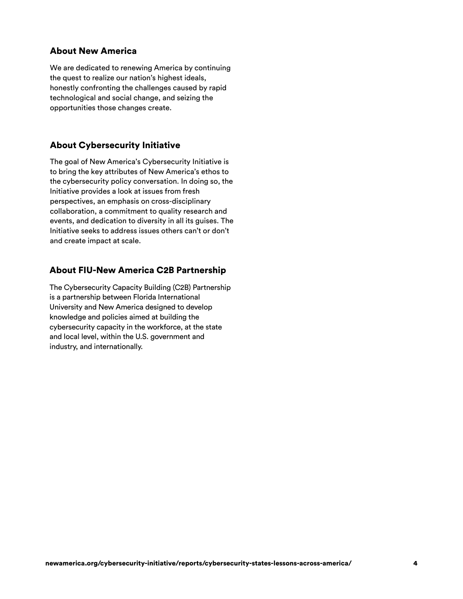# About New America

We are dedicated to renewing America by continuing the quest to realize our nation's highest ideals, honestly confronting the challenges caused by rapid technological and social change, and seizing the opportunities those changes create.

# About Cybersecurity Initiative

The goal of New America's Cybersecurity Initiative is to bring the key attributes of New America's ethos to the cybersecurity policy conversation. In doing so, the Initiative provides a look at issues from fresh perspectives, an emphasis on cross-disciplinary collaboration, a commitment to quality research and events, and dedication to diversity in all its guises. The Initiative seeks to address issues others can't or don't and create impact at scale.

# About FIU-New America C2B Partnership

The Cybersecurity Capacity Building (C2B) Partnership is a partnership between Florida International University and New America designed to develop knowledge and policies aimed at building the cybersecurity capacity in the workforce, at the state and local level, within the U.S. government and industry, and internationally.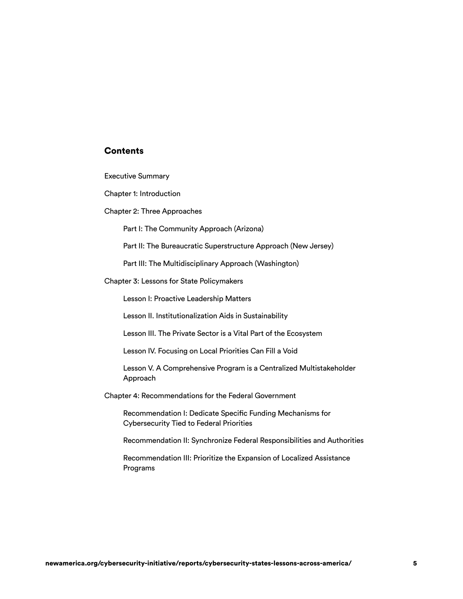# **Contents**

Executive Summary

Chapter 1: Introduction

Chapter 2: Three Approaches

I: The Community Approach (Arizona)

II: The Bureaucratic Superstructure Approach (New Jersey) Part I: The Community Approach (Arizona)<br>Part II: The Bureaucratic Superstructure Approach (New Jersey)<br>Part III: The Multidisciplinary Approach (Washington)<br>Chapter 3: Lessons for State Policymakers

III: The Multidisciplinary Approach (Washington)

Chapter 3: Lessons for State Policymakers

Lesson I: Proactive Leadership Matters

Lesson II. Institutionalization Aids in Sustainability

Lesson III. The Private Sector is a Vital Part of the Ecosystem

Lesson IV. Focusing on Local Priorities Can Fill a Void

 Lesson V. A Comprehensive Program is a Centralized Multistakeholder Approach

Chapter 4: Recommendations for the Federal Government

 Recommendation I: Dedicate Specific Funding Mechanisms for Cybersecurity Tied to Federal Priorities

Recommendation II: Synchronize Federal Responsibilities and Authorities

 Recommendation III: Prioritize the Expansion of Localized Assistance Programs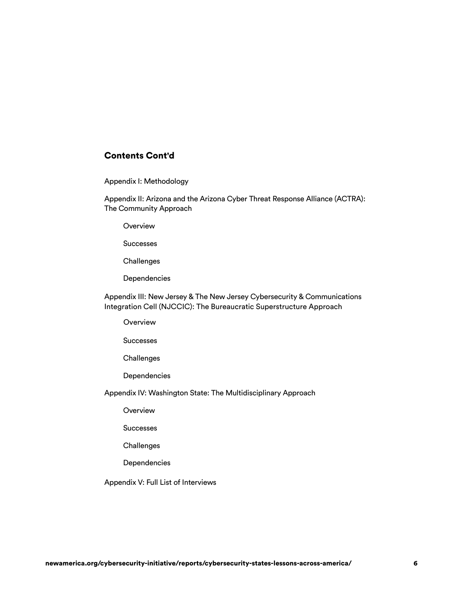# Contents Cont'd

I: Methodology

II: Arizona and the Arizona Cyber Threat Response Alliance (ACTRA): Appendix I: Methodology<br>Appendix II: Arizona and the Arizona Cyber Threat Response Alliance (ACTRA):<br>The Community Approach

**Overview** 

**Successes** 

**Challenges** 

**Dependencies** 

Appendix III: New Jersey & The New Jersey Cybersecurity & Communications Integration Cell (NJCCIC): The Bureaucratic Superstructure Approach

Overview

**Successes** 

Challenges

Dependencies

Successes<br>Challenges<br>Dependencies<br>Appendix IV: Washington State: The Multidisciplinary Approach

**Overview** 

Successes

**Challenges** 

**Dependencies** 

Appendix V: Full List of Interviews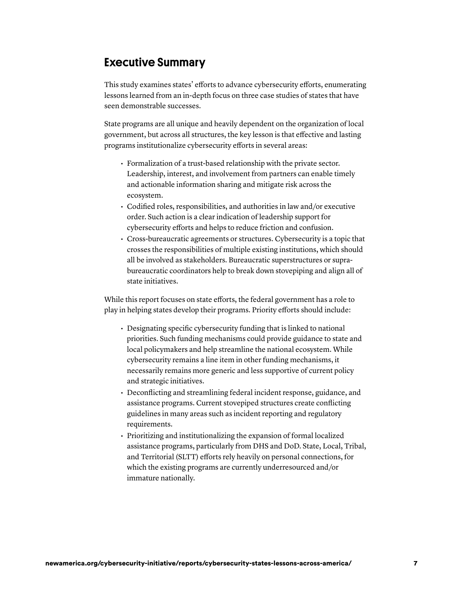# Executive Summary

This study examines states' efforts to advance cybersecurity efforts, enumerating lessons learned from an in-depth focus on three case studies of states that have seen demonstrable successes.

State programs are all unique and heavily dependent on the organization of local government, but across all structures, the key lesson is that effective and lasting programs institutionalize cybersecurity efforts in several areas:

- Formalization of a trust-based relationship with the private sector. Leadership, interest, and involvement from partners can enable timely and actionable information sharing and mitigate risk across the ecosystem.
- Codified roles, responsibilities, and authorities in law and/or executive order. Such action is a clear indication of leadership support for cybersecurity efforts and helps to reduce friction and confusion.
- Cross-bureaucratic agreements or structures. Cybersecurity is a topic that crosses the responsibilities of multiple existing institutions, which should all be involved as stakeholders. Bureaucratic superstructures or suprabureaucratic coordinators help to break down stovepiping and align all of state initiatives.

While this report focuses on state efforts, the federal government has a role to play in helping states develop their programs. Priority efforts should include:

- Designating specific cybersecurity funding that is linked to national priorities. Such funding mechanisms could provide guidance to state and local policymakers and help streamline the national ecosystem. While cybersecurity remains a line item in other funding mechanisms, it necessarily remains more generic and less supportive of current policy and strategic initiatives.
- Deconflicting and streamlining federal incident response, guidance, and assistance programs. Current stovepiped structures create conflicting guidelines in many areas such as incident reporting and regulatory requirements.
- Prioritizing and institutionalizing the expansion of formal localized assistance programs, particularly from DHS and DoD. State, Local, Tribal, and Territorial (SLTT) efforts rely heavily on personal connections, for which the existing programs are currently underresourced and/or immature nationally.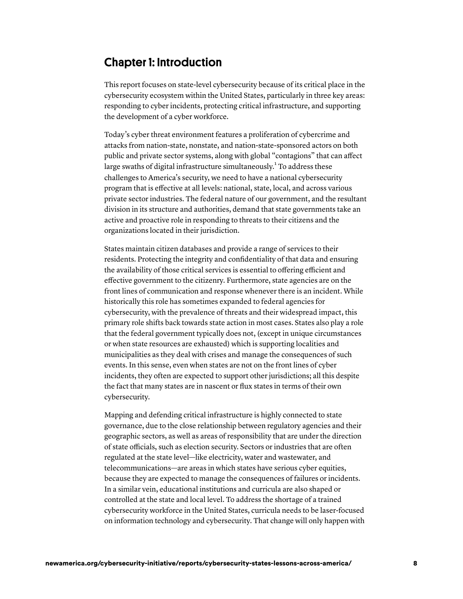# Chapter 1: Introduction

This report focuses on state-level cybersecurity because of its critical place in the cybersecurity ecosystem within the United States, particularly in three key areas: responding to cyber incidents, protecting critical infrastructure, and supporting the development of a cyber workforce.

Today's cyber threat environment features a proliferation of cybercrime and attacks from nation-state, nonstate, and nation-state-sponsored actors on both public and private sector systems, along with global "contagions" that can affect large swaths of digital infrastructure simultaneously.<sup>1</sup> To address these challenges to America's security, we need to have a national cybersecurity program that is effective at all levels: national, state, local, and across various private sector industries. The federal nature of our government, and the resultant division in its structure and authorities, demand that state governments take an active and proactive role in responding to threats to their citizens and the organizations located in their jurisdiction.

States maintain citizen databases and provide a range of services to their residents. Protecting the integrity and confidentiality of that data and ensuring the availability of those critical services is essential to offering efficient and effective government to the citizenry. Furthermore, state agencies are on the front lines of communication and response whenever there is an incident. While historically this role has sometimes expanded to federal agencies for cybersecurity, with the prevalence of threats and their widespread impact, this primary role shifts back towards state action in most cases. States also play a role that the federal government typically does not, (except in unique circumstances or when state resources are exhausted) which is supporting localities and municipalities as they deal with crises and manage the consequences of such events. In this sense, even when states are not on the front lines of cyber incidents, they often are expected to support other jurisdictions; all this despite the fact that many states are in nascent or flux states in terms of their own cybersecurity.

Mapping and defending critical infrastructure is highly connected to state governance, due to the close relationship between regulatory agencies and their geographic sectors, as well as areas of responsibility that are under the direction of state officials, such as election security. Sectors or industries that are often regulated at the state level—like electricity, water and wastewater, and telecommunications—are areas in which states have serious cyber equities, because they are expected to manage the consequences of failures or incidents. In a similar vein, educational institutions and curricula are also shaped or controlled at the state and local level. To address the shortage of a trained cybersecurity workforce in the United States, curricula needs to be laser-focused on information technology and cybersecurity. That change will only happen with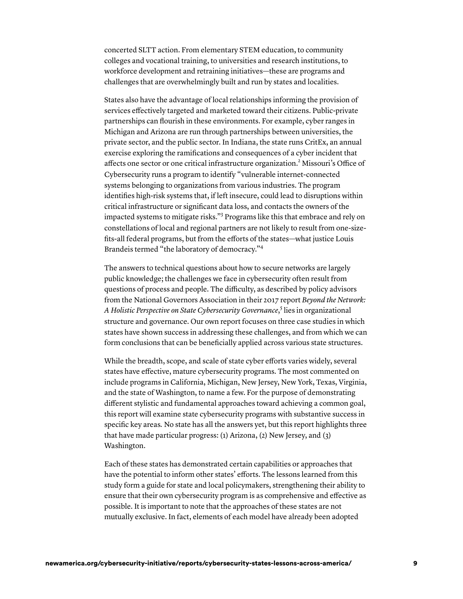concerted SLTT action. From elementary STEM education, to community colleges and vocational training, to universities and research institutions, to workforce development and retraining initiatives—these are programs and challenges that are overwhelmingly built and run by states and localities.

States also have the advantage of local relationships informing the provision of services effectively targeted and marketed toward their citizens. Public-private partnerships can flourish in these environments. For example, cyber ranges in Michigan and Arizona are run through partnerships between universities, the private sector, and the public sector. In Indiana, the state runs CritEx, an annual exercise exploring the ramifications and consequences of a cyber incident that affects one sector or one critical infrastructure organization.<sup>2</sup> Missouri's Office of Cybersecurity runs a program to identify "vulnerable internet-connected systems belonging to organizations from various industries. The program identifies high-risk systems that, if left insecure, could lead to disruptions within critical infrastructure or significant data loss, and contacts the owners of the impacted systems to mitigate risks."3 Programs like this that embrace and rely on constellations of local and regional partners are not likely to result from one-sizefits-all federal programs, but from the efforts of the states—what justice Louis Brandeis termed "the laboratory of democracy."<sup>4</sup>

The answers to technical questions about how to secure networks are largely public knowledge; the challenges we face in cybersecurity often result from questions of process and people. The difficulty, as described by policy advisors from the National Governors Association in their 2017 report *Beyond the Network: A Holistic Perspective on State Cybersecurity Governance*, 5 lies in organizational structure and governance. Our own report focuses on three case studies in which states have shown success in addressing these challenges, and from which we can form conclusions that can be beneficially applied across various state structures.

While the breadth, scope, and scale of state cyber efforts varies widely, several states have effective, mature cybersecurity programs. The most commented on include programs in California, Michigan, New Jersey, New York, Texas, Virginia, and the state of Washington, to name a few. For the purpose of demonstrating different stylistic and fundamental approaches toward achieving a common goal, this report will examine state cybersecurity programs with substantive success in specific key areas*.* No state has all the answers yet, but this report highlights three that have made particular progress: (1) Arizona, (2) New Jersey, and (3) Washington.

Each of these states has demonstrated certain capabilities or approaches that have the potential to inform other states' efforts. The lessons learned from this study form a guide for state and local policymakers, strengthening their ability to ensure that their own cybersecurity program is as comprehensive and effective as possible. It is important to note that the approaches of these states are not mutually exclusive. In fact, elements of each model have already been adopted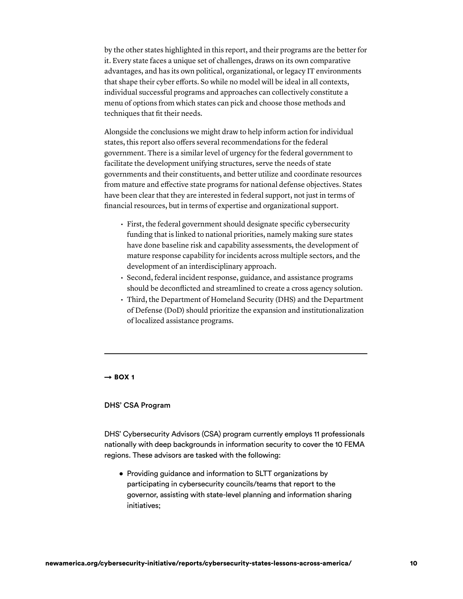by the other states highlighted in this report, and their programs are the better for it. Every state faces a unique set of challenges, draws on its own comparative advantages, and has its own political, organizational, or legacy IT environments that shape their cyber efforts. So while no model will be ideal in all contexts, individual successful programs and approaches can collectively constitute a menu of options from which states can pick and choose those methods and techniques that fit their needs.

Alongside the conclusions we might draw to help inform action for individual states, this report also offers several recommendations for the federal government. There is a similar level of urgency for the federal government to facilitate the development unifying structures, serve the needs of state governments and their constituents, and better utilize and coordinate resources from mature and effective state programs for national defense objectives. States have been clear that they are interested in federal support, not just in terms of financial resources, but in terms of expertise and organizational support.

- First, the federal government should designate specific cybersecurity funding that is linked to national priorities, namely making sure states have done baseline risk and capability assessments, the development of mature response capability for incidents across multiple sectors, and the development of an interdisciplinary approach.
- Second, federal incident response, guidance, and assistance programs should be deconflicted and streamlined to create a cross agency solution.
- Third, the Department of Homeland Security (DHS) and the Department of Defense (DoD) should prioritize the expansion and institutionalization of localized assistance programs.

#### $\rightarrow$  BOX 1

#### DHS' CSA Program

 DHS' Cybersecurity Advisors (CSA) program currently employs 11 professionals nationally with deep backgrounds in information security to cover the 10 FEMA regions. These advisors are tasked with the following:

 • Providing guidance and information to SLTT organizations by participating in cybersecurity councils/teams that report to the governor, assisting with state-level planning and information sharing initiatives;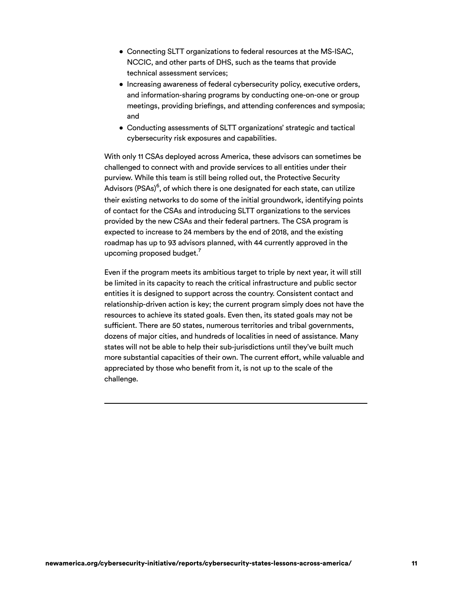- • Connecting SLTT organizations to federal resources at the MS-ISAC, NCCIC, and other parts of DHS, such as the teams that provide technical assessment services;
- • Increasing awareness of federal cybersecurity policy, executive orders, and information-sharing programs by conducting one-on-one or group meetings, providing briefings, and attending conferences and symposia; and
- • Conducting assessments of SLTT organizations' strategic and tactical cybersecurity risk exposures and capabilities.

 With only 11 CSAs deployed across America, these advisors can sometimes be challenged to connect with and provide services to all entities under their purview. While this team is still being rolled out, the Protective Security Advisors (PSAs) $^6$ , of which there is one designated for each state, can utilize their existing networks to do some of the initial groundwork, identifying points of contact for the CSAs and introducing SLTT organizations to the services provided by the new CSAs and their federal partners. The CSA program is expected to increase to 24 members by the end of 2018, and the existing roadmap has up to 93 advisors planned, with 44 currently approved in the upcoming proposed budget. $^7$ 

 Even if the program meets its ambitious target to triple by next year, it will still be limited in its capacity to reach the critical infrastructure and public sector entities it is designed to support across the country. Consistent contact and relationship-driven action is key; the current program simply does not have the resources to achieve its stated goals. Even then, its stated goals may not be sufficient. There are 50 states, numerous territories and tribal governments, dozens of major cities, and hundreds of localities in need of assistance. Many states will not be able to help their sub-jurisdictions until they've built much more substantial capacities of their own. The current effort, while valuable and appreciated by those who benefit from it, is not up to the scale of the challenge.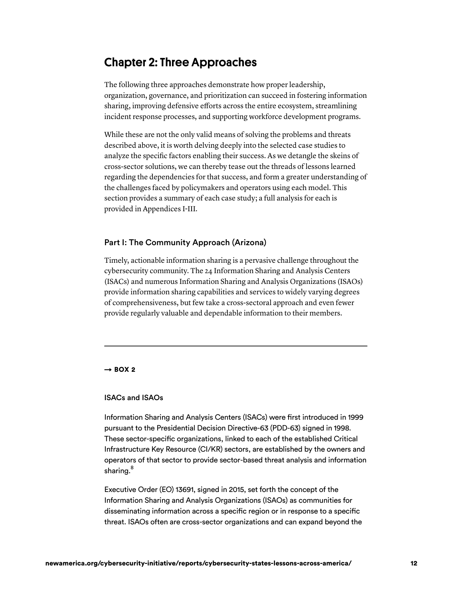# Chapter 2: Three Approaches

The following three approaches demonstrate how proper leadership, organization, governance, and prioritization can succeed in fostering information sharing, improving defensive efforts across the entire ecosystem, streamlining incident response processes, and supporting workforce development programs.

While these are not the only valid means of solving the problems and threats described above, it is worth delving deeply into the selected case studies to analyze the specific factors enabling their success. As we detangle the skeins of cross-sector solutions, we can thereby tease out the threads of lessons learned regarding the dependencies for that success, and form a greater understanding of the challenges faced by policymakers and operators using each model. This section provides a summary of each case study; a full analysis for each is provided in Appendices I-III.

# Part I: The Community Approach (Arizona)

Timely, actionable information sharing is a pervasive challenge throughout the cybersecurity community. The 24 Information Sharing and Analysis Centers (ISACs) and numerous Information Sharing and Analysis Organizations (ISAOs) provide information sharing capabilities and services to widely varying degrees of comprehensiveness, but few take a cross-sectoral approach and even fewer provide regularly valuable and dependable information to their members.

#### $\rightarrow$  BOX 2

#### ISACs and ISAOs

 Information Sharing and Analysis Centers (ISACs) were first introduced in 1999 pursuant to the Presidential Decision Directive-63 (PDD-63) signed in 1998. These sector-specific organizations, linked to each of the established Critical Infrastructure Key Resource (CI/KR) sectors, are established by the owners and operators of that sector to provide sector-based threat analysis and information sharing.<sup>8</sup>

 Executive Order (EO) 13691, signed in 2015, set forth the concept of the Information Sharing and Analysis Organizations (ISAOs) as communities for disseminating information across a specific region or in response to a specific threat. ISAOs often are cross-sector organizations and can expand beyond the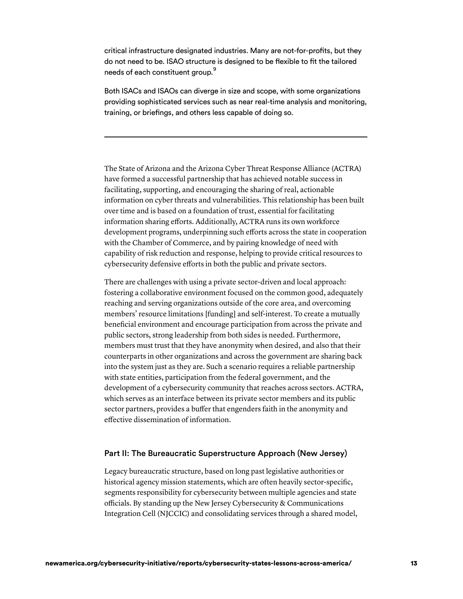critical infrastructure designated industries. Many are not-for-profits, but they do not need to be. ISAO structure is designed to be flexible to fit the tailored needs of each constituent group. $^9$ 

 Both ISACs and ISAOs can diverge in size and scope, with some organizations providing sophisticated services such as near real-time analysis and monitoring, training, or briefings, and others less capable of doing so.

The State of Arizona and the Arizona Cyber Threat Response Alliance (ACTRA) have formed a successful partnership that has achieved notable success in facilitating, supporting, and encouraging the sharing of real, actionable information on cyber threats and vulnerabilities. This relationship has been built over time and is based on a foundation of trust, essential for facilitating information sharing efforts. Additionally, ACTRA runs its own workforce development programs, underpinning such efforts across the state in cooperation with the Chamber of Commerce, and by pairing knowledge of need with capability of risk reduction and response, helping to provide critical resources to cybersecurity defensive efforts in both the public and private sectors.

There are challenges with using a private sector-driven and local approach: fostering a collaborative environment focused on the common good, adequately reaching and serving organizations outside of the core area, and overcoming members' resource limitations [funding] and self-interest. To create a mutually beneficial environment and encourage participation from across the private and public sectors, strong leadership from both sides is needed. Furthermore, members must trust that they have anonymity when desired, and also that their counterparts in other organizations and across the government are sharing back into the system just as they are. Such a scenario requires a reliable partnership with state entities, participation from the federal government, and the development of a cybersecurity community that reaches across sectors. ACTRA, which serves as an interface between its private sector members and its public sector partners, provides a buffer that engenders faith in the anonymity and effective dissemination of information.

# Part II: The Bureaucratic Superstructure Approach (New Jersey)

Legacy bureaucratic structure, based on long past legislative authorities or historical agency mission statements, which are often heavily sector-specific, segments responsibility for cybersecurity between multiple agencies and state officials. By standing up the New Jersey Cybersecurity & Communications Integration Cell (NJCCIC) and consolidating services through a shared model,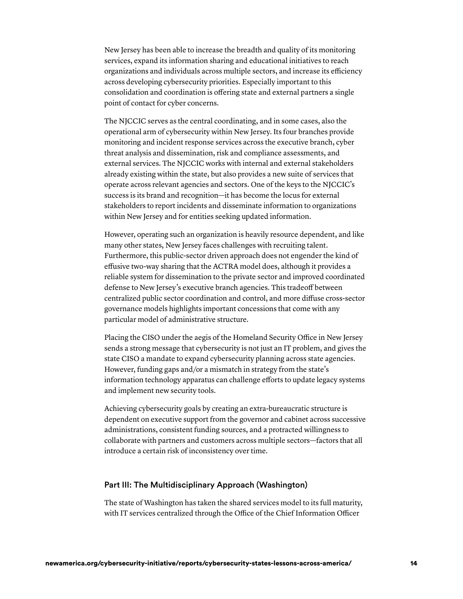New Jersey has been able to increase the breadth and quality of its monitoring services, expand its information sharing and educational initiatives to reach organizations and individuals across multiple sectors, and increase its efficiency across developing cybersecurity priorities. Especially important to this consolidation and coordination is offering state and external partners a single point of contact for cyber concerns.

The NJCCIC serves as the central coordinating, and in some cases, also the operational arm of cybersecurity within New Jersey. Its four branches provide monitoring and incident response services across the executive branch, cyber threat analysis and dissemination, risk and compliance assessments, and external services. The NJCCIC works with internal and external stakeholders already existing within the state, but also provides a new suite of services that operate across relevant agencies and sectors. One of the keys to the NJCCIC's success is its brand and recognition—it has become the locus for external stakeholders to report incidents and disseminate information to organizations within New Jersey and for entities seeking updated information.

However, operating such an organization is heavily resource dependent, and like many other states, New Jersey faces challenges with recruiting talent. Furthermore, this public-sector driven approach does not engender the kind of effusive two-way sharing that the ACTRA model does, although it provides a reliable system for dissemination to the private sector and improved coordinated defense to New Jersey's executive branch agencies. This tradeoff between centralized public sector coordination and control, and more diffuse cross-sector governance models highlights important concessions that come with any particular model of administrative structure.

Placing the CISO under the aegis of the Homeland Security Office in New Jersey sends a strong message that cybersecurity is not just an IT problem, and gives the state CISO a mandate to expand cybersecurity planning across state agencies. However, funding gaps and/or a mismatch in strategy from the state's information technology apparatus can challenge efforts to update legacy systems and implement new security tools.

Achieving cybersecurity goals by creating an extra-bureaucratic structure is dependent on executive support from the governor and cabinet across successive administrations, consistent funding sources, and a protracted willingness to collaborate with partners and customers across multiple sectors—factors that all introduce a certain risk of inconsistency over time.

# Part III: The Multidisciplinary Approach (Washington)

The state of Washington has taken the shared services model to its full maturity, with IT services centralized through the Office of the Chief Information Officer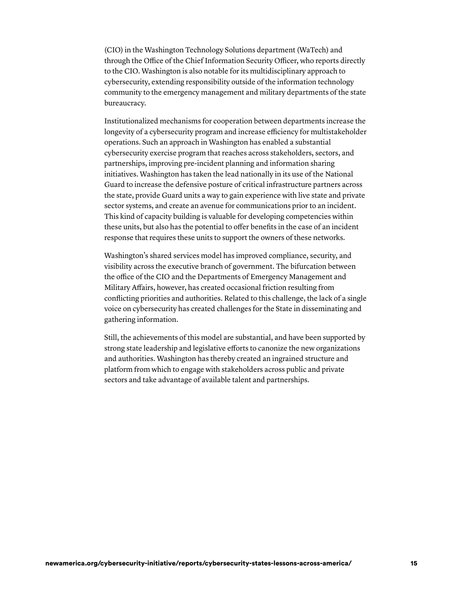(CIO) in the Washington Technology Solutions department (WaTech) and through the Office of the Chief Information Security Officer, who reports directly to the CIO. Washington is also notable for its multidisciplinary approach to cybersecurity, extending responsibility outside of the information technology community to the emergency management and military departments of the state bureaucracy.

Institutionalized mechanisms for cooperation between departments increase the longevity of a cybersecurity program and increase efficiency for multistakeholder operations. Such an approach in Washington has enabled a substantial cybersecurity exercise program that reaches across stakeholders, sectors, and partnerships, improving pre-incident planning and information sharing initiatives. Washington has taken the lead nationally in its use of the National Guard to increase the defensive posture of critical infrastructure partners across the state, provide Guard units a way to gain experience with live state and private sector systems, and create an avenue for communications prior to an incident. This kind of capacity building is valuable for developing competencies within these units, but also has the potential to offer benefits in the case of an incident response that requires these units to support the owners of these networks.

Washington's shared services model has improved compliance, security, and visibility across the executive branch of government. The bifurcation between the office of the CIO and the Departments of Emergency Management and Military Affairs, however, has created occasional friction resulting from conflicting priorities and authorities. Related to this challenge, the lack of a single voice on cybersecurity has created challenges for the State in disseminating and gathering information.

Still, the achievements of this model are substantial, and have been supported by strong state leadership and legislative efforts to canonize the new organizations and authorities. Washington has thereby created an ingrained structure and platform from which to engage with stakeholders across public and private sectors and take advantage of available talent and partnerships.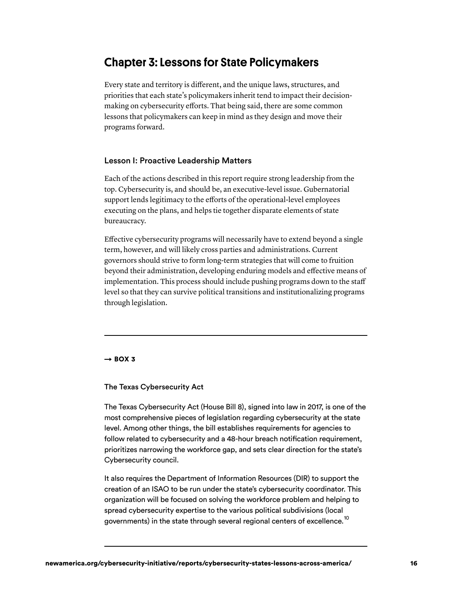# Chapter 3: Lessons for State Policymakers

Every state and territory is different, and the unique laws, structures, and priorities that each state's policymakers inherit tend to impact their decisionmaking on cybersecurity efforts. That being said, there are some common lessons that policymakers can keep in mind as they design and move their programs forward.

#### Lesson I: Proactive Leadership Matters

Each of the actions described in this report require strong leadership from the top. Cybersecurity is, and should be, an executive-level issue. Gubernatorial support lends legitimacy to the efforts of the operational-level employees executing on the plans, and helps tie together disparate elements of state bureaucracy.

Effective cybersecurity programs will necessarily have to extend beyond a single term, however, and will likely cross parties and administrations. Current governors should strive to form long-term strategies that will come to fruition beyond their administration, developing enduring models and effective means of implementation. This process should include pushing programs down to the staff level so that they can survive political transitions and institutionalizing programs through legislation.

#### $\rightarrow$  BOX 3

## The Texas Cybersecurity Act

 The Texas Cybersecurity Act (House Bill 8), signed into law in 2017, is one of the most comprehensive pieces of legislation regarding cybersecurity at the state level. Among other things, the bill establishes requirements for agencies to follow related to cybersecurity and a 48-hour breach notification requirement, prioritizes narrowing the workforce gap, and sets clear direction for the state's Cybersecurity council.

 It also requires the Department of Information Resources (DIR) to support the creation of an ISAO to be run under the state's cybersecurity coordinator. This organization will be focused on solving the workforce problem and helping to spread cybersecurity expertise to the various political subdivisions (local governments) in the state through several regional centers of excellence. $^{\rm 10}$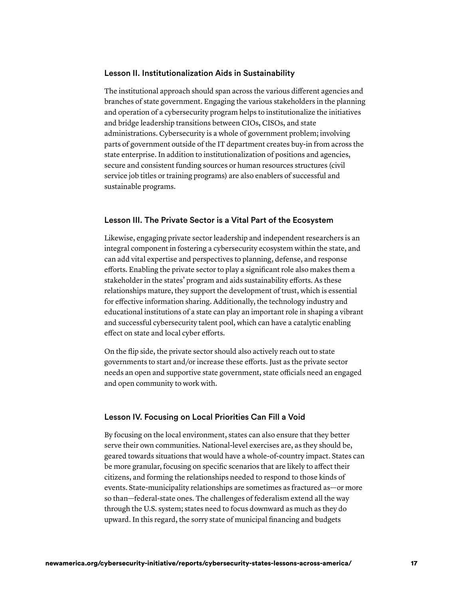#### Lesson II. Institutionalization Aids in Sustainability

The institutional approach should span across the various different agencies and branches of state government. Engaging the various stakeholders in the planning and operation of a cybersecurity program helps to institutionalize the initiatives and bridge leadership transitions between CIOs, CISOs, and state administrations. Cybersecurity is a whole of government problem; involving parts of government outside of the IT department creates buy-in from across the state enterprise. In addition to institutionalization of positions and agencies, secure and consistent funding sources or human resources structures (civil service job titles or training programs) are also enablers of successful and sustainable programs.

## Lesson III. The Private Sector is a Vital Part of the Ecosystem

Likewise, engaging private sector leadership and independent researchers is an integral component in fostering a cybersecurity ecosystem within the state, and can add vital expertise and perspectives to planning, defense, and response efforts. Enabling the private sector to play a significant role also makes them a stakeholder in the states' program and aids sustainability efforts. As these relationships mature, they support the development of trust, which is essential for effective information sharing. Additionally, the technology industry and educational institutions of a state can play an important role in shaping a vibrant and successful cybersecurity talent pool, which can have a catalytic enabling effect on state and local cyber efforts.

On the flip side, the private sector should also actively reach out to state governments to start and/or increase these efforts. Just as the private sector needs an open and supportive state government, state officials need an engaged and open community to work with.

## Lesson IV. Focusing on Local Priorities Can Fill a Void

By focusing on the local environment, states can also ensure that they better serve their own communities. National-level exercises are, as they should be, geared towards situations that would have a whole-of-country impact. States can be more granular, focusing on specific scenarios that are likely to affect their citizens, and forming the relationships needed to respond to those kinds of events. State-municipality relationships are sometimes as fractured as—or more so than—federal-state ones. The challenges of federalism extend all the way through the U.S. system; states need to focus downward as much as they do upward. In this regard, the sorry state of municipal financing and budgets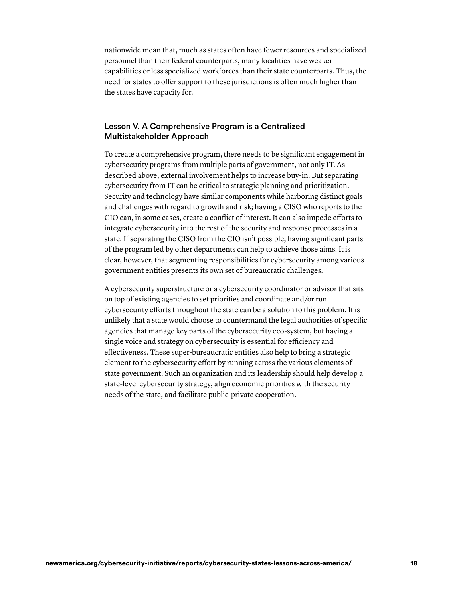nationwide mean that, much as states often have fewer resources and specialized personnel than their federal counterparts, many localities have weaker capabilities or less specialized workforces than their state counterparts. Thus, the need for states to offer support to these jurisdictions is often much higher than the states have capacity for.

# Lesson V. A Comprehensive Program is a Centralized Multistakeholder Approach

To create a comprehensive program, there needs to be significant engagement in cybersecurity programs from multiple parts of government, not only IT. As described above, external involvement helps to increase buy-in. But separating cybersecurity from IT can be critical to strategic planning and prioritization. Security and technology have similar components while harboring distinct goals and challenges with regard to growth and risk; having a CISO who reports to the CIO can, in some cases, create a conflict of interest. It can also impede efforts to integrate cybersecurity into the rest of the security and response processes in a state. If separating the CISO from the CIO isn't possible, having significant parts of the program led by other departments can help to achieve those aims. It is clear, however, that segmenting responsibilities for cybersecurity among various government entities presents its own set of bureaucratic challenges.

A cybersecurity superstructure or a cybersecurity coordinator or advisor that sits on top of existing agencies to set priorities and coordinate and/or run cybersecurity efforts throughout the state can be a solution to this problem. It is unlikely that a state would choose to countermand the legal authorities of specific agencies that manage key parts of the cybersecurity eco-system, but having a single voice and strategy on cybersecurity is essential for efficiency and effectiveness. These super-bureaucratic entities also help to bring a strategic element to the cybersecurity effort by running across the various elements of state government. Such an organization and its leadership should help develop a state-level cybersecurity strategy, align economic priorities with the security needs of the state, and facilitate public-private cooperation.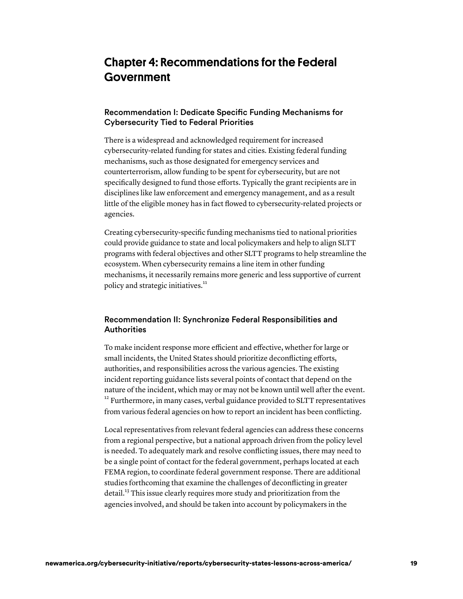# Chapter 4: Recommendations for the Federal Government

# Recommendation I: Dedicate Specific Funding Mechanisms for Cybersecurity Tied to Federal Priorities

There is a widespread and acknowledged requirement for increased cybersecurity-related funding for states and cities. Existing federal funding mechanisms, such as those designated for emergency services and counterterrorism, allow funding to be spent for cybersecurity, but are not specifically designed to fund those efforts. Typically the grant recipients are in disciplines like law enforcement and emergency management, and as a result little of the eligible money has in fact flowed to cybersecurity-related projects or agencies.

Creating cybersecurity-specific funding mechanisms tied to national priorities could provide guidance to state and local policymakers and help to align SLTT programs with federal objectives and other SLTT programs to help streamline the ecosystem. When cybersecurity remains a line item in other funding mechanisms, it necessarily remains more generic and less supportive of current policy and strategic initiatives. 11

# Recommendation II: Synchronize Federal Responsibilities and **Authorities**

To make incident response more efficient and effective, whether for large or small incidents, the United States should prioritize deconflicting efforts, authorities, and responsibilities across the various agencies. The existing incident reporting guidance lists several points of contact that depend on the nature of the incident, which may or may not be known until well after the event. <sup>12</sup> Furthermore, in many cases, verbal guidance provided to SLTT representatives from various federal agencies on how to report an incident has been conflicting.

Local representatives from relevant federal agencies can address these concerns from a regional perspective, but a national approach driven from the policy level is needed. To adequately mark and resolve conflicting issues, there may need to be a single point of contact for the federal government, perhaps located at each FEMA region, to coordinate federal government response. There are additional studies forthcoming that examine the challenges of deconflicting in greater detail.<sup>13</sup> This issue clearly requires more study and prioritization from the agencies involved, and should be taken into account by policymakers in the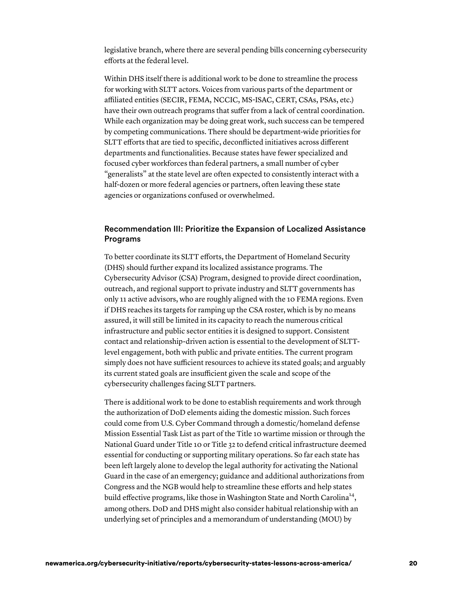legislative branch, where there are several pending bills concerning cybersecurity efforts at the federal level.

Within DHS itself there is additional work to be done to streamline the process for working with SLTT actors. Voices from various parts of the department or affiliated entities (SECIR, FEMA, NCCIC, MS-ISAC, CERT, CSAs, PSAs, etc.) have their own outreach programs that suffer from a lack of central coordination. While each organization may be doing great work, such success can be tempered by competing communications. There should be department-wide priorities for SLTT efforts that are tied to specific, deconflicted initiatives across different departments and functionalities. Because states have fewer specialized and focused cyber workforces than federal partners, a small number of cyber "generalists" at the state level are often expected to consistently interact with a half-dozen or more federal agencies or partners, often leaving these state agencies or organizations confused or overwhelmed.

# Recommendation III: Prioritize the Expansion of Localized Assistance Programs

To better coordinate its SLTT efforts, the Department of Homeland Security (DHS) should further expand its localized assistance programs. The Cybersecurity Advisor (CSA) Program, designed to provide direct coordination, outreach, and regional support to private industry and SLTT governments has only 11 active advisors, who are roughly aligned with the 10 FEMA regions. Even if DHS reaches its targets for ramping up the CSA roster, which is by no means assured, it will still be limited in its capacity to reach the numerous critical infrastructure and public sector entities it is designed to support. Consistent contact and relationship-driven action is essential to the development of SLTTlevel engagement, both with public and private entities. The current program simply does not have sufficient resources to achieve its stated goals; and arguably its current stated goals are insufficient given the scale and scope of the cybersecurity challenges facing SLTT partners.

There is additional work to be done to establish requirements and work through the authorization of DoD elements aiding the domestic mission. Such forces could come from U.S. Cyber Command through a domestic/homeland defense Mission Essential Task List as part of the Title 10 wartime mission or through the National Guard under Title 10 or Title 32 to defend critical infrastructure deemed essential for conducting or supporting military operations. So far each state has been left largely alone to develop the legal authority for activating the National Guard in the case of an emergency; guidance and additional authorizations from Congress and the NGB would help to streamline these efforts and help states build effective programs, like those in Washington State and North Carolina<sup>14</sup>, among others. DoD and DHS might also consider habitual relationship with an underlying set of principles and a memorandum of understanding (MOU) by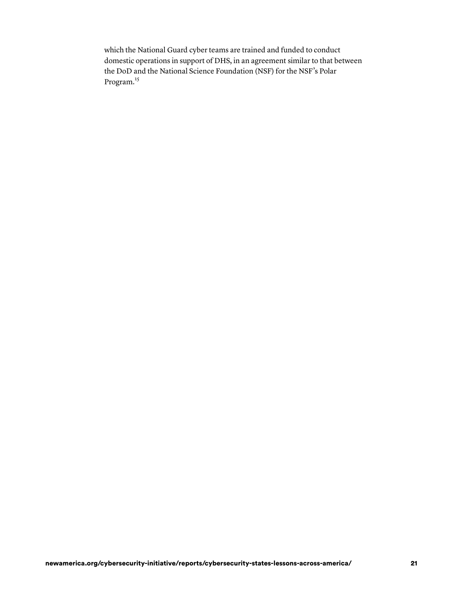which the National Guard cyber teams are trained and funded to conduct domestic operations in support of DHS, in an agreement similar to that between the DoD and the National Science Foundation (NSF) for the NSF's Polar Program.<sup>15</sup>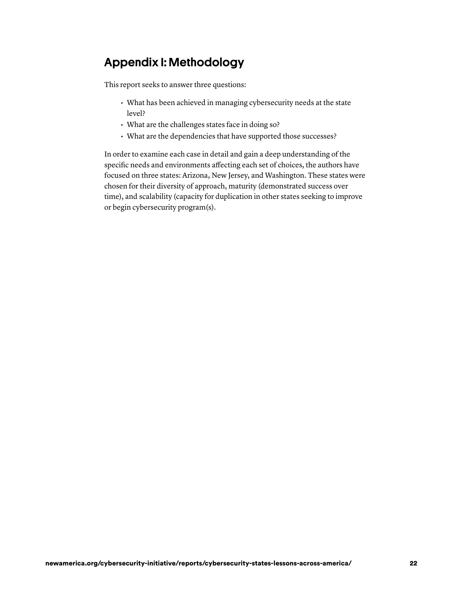# Appendix I: Methodology

This report seeks to answer three questions:

- What has been achieved in managing cybersecurity needs at the state level?
- What are the challenges states face in doing so?
- What are the dependencies that have supported those successes?

In order to examine each case in detail and gain a deep understanding of the specific needs and environments affecting each set of choices, the authors have focused on three states: Arizona, New Jersey, and Washington. These states were chosen for their diversity of approach, maturity (demonstrated success over time), and scalability (capacity for duplication in other states seeking to improve or begin cybersecurity program(s).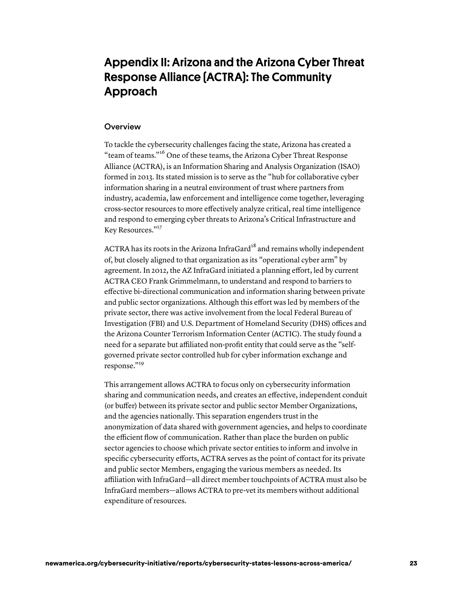# Appendix II: Arizona and the Arizona Cyber Threat Response Alliance (ACTRA): The Community Approach

#### **Overview**

To tackle the cybersecurity challenges facing the state, Arizona has created a "team of teams."<sup>16</sup> One of these teams, the Arizona Cyber Threat Response Alliance (ACTRA), is an Information Sharing and Analysis Organization (ISAO) formed in 2013. Its stated mission is to serve as the "hub for collaborative cyber information sharing in a neutral environment of trust where partners from industry, academia, law enforcement and intelligence come together, leveraging cross-sector resources to more effectively analyze critical, real time intelligence and respond to emerging cyber threats to Arizona's Critical Infrastructure and Key Resources."<sup>17</sup>

ACTRA has its roots in the Arizona InfraGard<sup>18</sup> and remains wholly independent of, but closely aligned to that organization as its "operational cyber arm" by agreement. In 2012, the AZ InfraGard initiated a planning effort, led by current ACTRA CEO Frank Grimmelmann, to understand and respond to barriers to effective bi-directional communication and information sharing between private and public sector organizations. Although this effort was led by members of the private sector, there was active involvement from the local Federal Bureau of Investigation (FBI) and U.S. Department of Homeland Security (DHS) offices and the Arizona Counter Terrorism Information Center (ACTIC). The study found a need for a separate but affiliated non-profit entity that could serve as the "selfgoverned private sector controlled hub for cyber information exchange and response."<sup>19</sup>

This arrangement allows ACTRA to focus only on cybersecurity information sharing and communication needs, and creates an effective, independent conduit (or buffer) between its private sector and public sector Member Organizations, and the agencies nationally. This separation engenders trust in the anonymization of data shared with government agencies, and helps to coordinate the efficient flow of communication. Rather than place the burden on public sector agencies to choose which private sector entities to inform and involve in specific cybersecurity efforts, ACTRA serves as the point of contact for its private and public sector Members, engaging the various members as needed. Its affiliation with InfraGard—all direct member touchpoints of ACTRA must also be InfraGard members—allows ACTRA to pre-vet its members without additional expenditure of resources.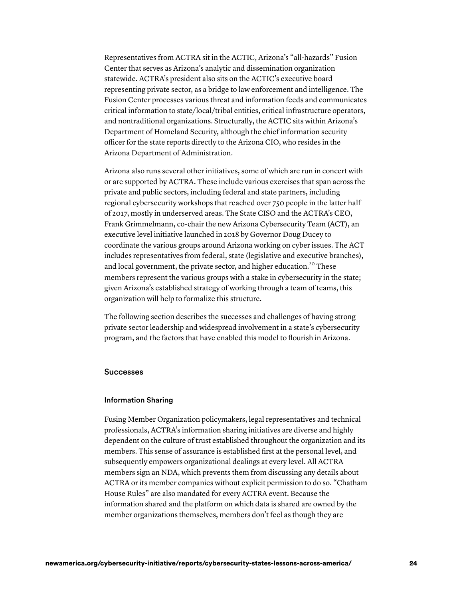Representatives from ACTRA sit in the ACTIC, Arizona's "all-hazards" Fusion Center that serves as Arizona's analytic and dissemination organization statewide. ACTRA's president also sits on the ACTIC's executive board representing private sector, as a bridge to law enforcement and intelligence. The Fusion Center processes various threat and information feeds and communicates critical information to state/local/tribal entities, critical infrastructure operators, and nontraditional organizations. Structurally, the ACTIC sits within Arizona's Department of Homeland Security, although the chief information security officer for the state reports directly to the Arizona CIO, who resides in the Arizona Department of Administration.

Arizona also runs several other initiatives, some of which are run in concert with or are supported by ACTRA. These include various exercises that span across the private and public sectors, including federal and state partners, including regional cybersecurity workshops that reached over 750 people in the latter half of 2017, mostly in underserved areas. The State CISO and the ACTRA's CEO, Frank Grimmelmann, co-chair the new Arizona Cybersecurity Team (ACT), an executive level initiative launched in 2018 by Governor Doug Ducey to coordinate the various groups around Arizona working on cyber issues. The ACT includes representatives from federal, state (legislative and executive branches), and local government, the private sector, and higher education.<sup>20</sup> These members represent the various groups with a stake in cybersecurity in the state; given Arizona's established strategy of working through a team of teams, this organization will help to formalize this structure.

The following section describes the successes and challenges of having strong private sector leadership and widespread involvement in a state's cybersecurity program, and the factors that have enabled this model to flourish in Arizona.

#### Successes

#### Information Sharing

Fusing Member Organization policymakers, legal representatives and technical professionals, ACTRA's information sharing initiatives are diverse and highly dependent on the culture of trust established throughout the organization and its members. This sense of assurance is established first at the personal level, and subsequently empowers organizational dealings at every level. All ACTRA members sign an NDA, which prevents them from discussing any details about ACTRA or its member companies without explicit permission to do so. "Chatham House Rules" are also mandated for every ACTRA event. Because the information shared and the platform on which data is shared are owned by the member organizations themselves, members don't feel as though they are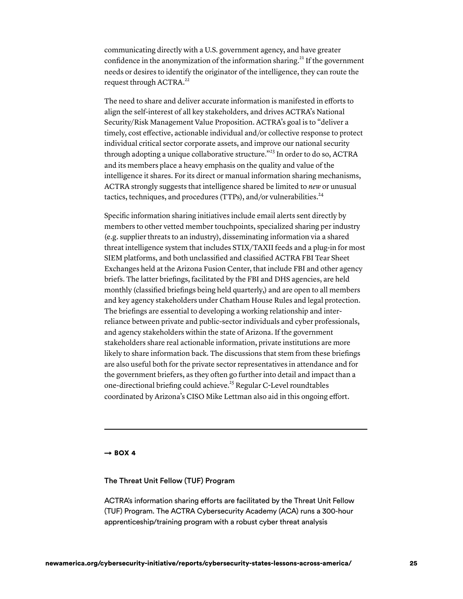communicating directly with a U.S. government agency, and have greater confidence in the anonymization of the information sharing.<sup>21</sup> If the government needs or desires to identify the originator of the intelligence, they can route the request through ACTRA.<sup>22</sup>

The need to share and deliver accurate information is manifested in efforts to align the self-interest of all key stakeholders, and drives ACTRA's National Security/Risk Management Value Proposition. ACTRA's goal is to "deliver a timely, cost effective, actionable individual and/or collective response to protect individual critical sector corporate assets, and improve our national security through adopting a unique collaborative structure."<sup>23</sup> In order to do so, ACTRA and its members place a heavy emphasis on the quality and value of the intelligence it shares. For its direct or manual information sharing mechanisms, ACTRA strongly suggests that intelligence shared be limited to *new* or unusual tactics, techniques, and procedures (TTPs), and/or vulnerabilities. 24

Specific information sharing initiatives include email alerts sent directly by members to other vetted member touchpoints, specialized sharing per industry (e.g. supplier threats to an industry), disseminating information via a shared threat intelligence system that includes STIX/TAXII feeds and a plug-in for most SIEM platforms, and both unclassified and classified ACTRA FBI Tear Sheet Exchanges held at the Arizona Fusion Center, that include FBI and other agency briefs. The latter briefings, facilitated by the FBI and DHS agencies, are held monthly (classified briefings being held quarterly,) and are open to all members and key agency stakeholders under Chatham House Rules and legal protection. The briefings are essential to developing a working relationship and interreliance between private and public-sector individuals and cyber professionals, and agency stakeholders within the state of Arizona. If the government stakeholders share real actionable information, private institutions are more likely to share information back. The discussions that stem from these briefings are also useful both for the private sector representatives in attendance and for the government briefers, as they often go further into detail and impact than a one-directional briefing could achieve.<sup>25</sup> Regular C-Level roundtables coordinated by Arizona's CISO Mike Lettman also aid in this ongoing effort.

 $\rightarrow$  BOX 4

#### The Threat Unit Fellow (TUF) Program

 ACTRA's information sharing efforts are facilitated by the Threat Unit Fellow (TUF) Program. The ACTRA Cybersecurity Academy (ACA) runs a 300-hour apprenticeship/training program with a robust cyber threat analysis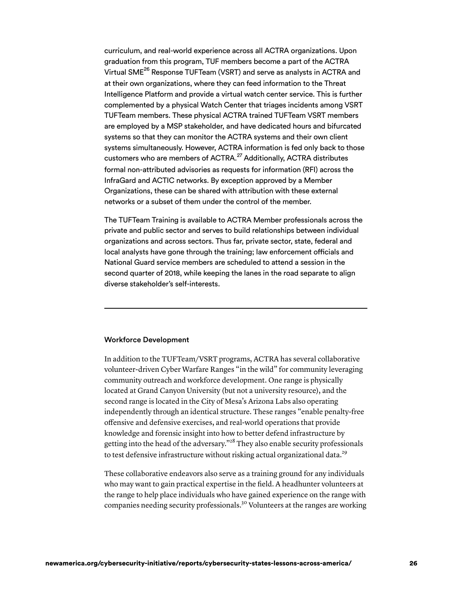curriculum, and real-world experience across all ACTRA organizations. Upon graduation from this program, TUF members become a part of the ACTRA Virtual SME $^{26}$  Response TUFTeam (VSRT) and serve as analysts in ACTRA and at their own organizations, where they can feed information to the Threat Intelligence Platform and provide a virtual watch center service. This is further complemented by a physical Watch Center that triages incidents among VSRT TUFTeam members. These physical ACTRA trained TUFTeam VSRT members are employed by a MSP stakeholder, and have dedicated hours and bifurcated systems so that they can monitor the ACTRA systems and their own client systems simultaneously. However, ACTRA information is fed only back to those customers who are members of ACTRA.<sup>27</sup> Additionally, ACTRA distributes formal non-attributed advisories as requests for information (RFI) across the InfraGard and ACTIC networks. By exception approved by a Member Organizations, these can be shared with attribution with these external networks or a subset of them under the control of the member.

 The TUFTeam Training is available to ACTRA Member professionals across the private and public sector and serves to build relationships between individual organizations and across sectors. Thus far, private sector, state, federal and local analysts have gone through the training; law enforcement officials and National Guard service members are scheduled to attend a session in the second quarter of 2018, while keeping the lanes in the road separate to align diverse stakeholder's self-interests.

#### Workforce Development

In addition to the TUFTeam/VSRT programs, ACTRA has several collaborative volunteer-driven Cyber Warfare Ranges "in the wild" for community leveraging community outreach and workforce development. One range is physically located at Grand Canyon University (but not a university resource), and the second range is located in the City of Mesa's Arizona Labs also operating independently through an identical structure. These ranges "enable penalty-free offensive and defensive exercises, and real-world operations that provide knowledge and forensic insight into how to better defend infrastructure by getting into the head of the adversary."<sup>28</sup> They also enable security professionals to test defensive infrastructure without risking actual organizational data.<sup>29</sup>

These collaborative endeavors also serve as a training ground for any individuals who may want to gain practical expertise in the field. A headhunter volunteers at the range to help place individuals who have gained experience on the range with companies needing security professionals.<sup>30</sup> Volunteers at the ranges are working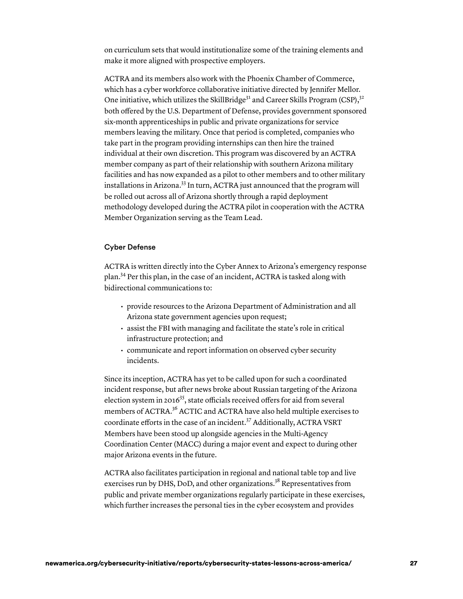on curriculum sets that would institutionalize some of the training elements and make it more aligned with prospective employers.

ACTRA and its members also work with the Phoenix Chamber of Commerce, which has a cyber workforce collaborative initiative directed by Jennifer Mellor. One initiative, which utilizes the SkillBridge<sup>31</sup> and Career Skills Program (CSP),<sup>32</sup> both offered by the U.S. Department of Defense, provides government sponsored six-month apprenticeships in public and private organizations for service members leaving the military. Once that period is completed, companies who take part in the program providing internships can then hire the trained individual at their own discretion. This program was discovered by an ACTRA member company as part of their relationship with southern Arizona military facilities and has now expanded as a pilot to other members and to other military installations in Arizona.<sup>33</sup> In turn, ACTRA just announced that the program will be rolled out across all of Arizona shortly through a rapid deployment methodology developed during the ACTRA pilot in cooperation with the ACTRA Member Organization serving as the Team Lead.

#### Cyber Defense

ACTRA is written directly into the Cyber Annex to Arizona's emergency response plan.34 Per this plan, in the case of an incident, ACTRA is tasked along with bidirectional communications to:

- provide resources to the Arizona Department of Administration and all Arizona state government agencies upon request;
- assist the FBI with managing and facilitate the state's role in critical infrastructure protection; and
- communicate and report information on observed cyber security incidents.

Since its inception, ACTRA has yet to be called upon for such a coordinated incident response, but after news broke about Russian targeting of the Arizona election system in 2016<sup>35</sup>, state officials received offers for aid from several members of ACTRA.36 ACTIC and ACTRA have also held multiple exercises to coordinate efforts in the case of an incident.37 Additionally, ACTRA VSRT Members have been stood up alongside agencies in the Multi-Agency Coordination Center (MACC) during a major event and expect to during other major Arizona events in the future.

ACTRA also facilitates participation in regional and national table top and live exercises run by DHS, DoD, and other organizations.<sup>38</sup> Representatives from public and private member organizations regularly participate in these exercises, which further increases the personal ties in the cyber ecosystem and provides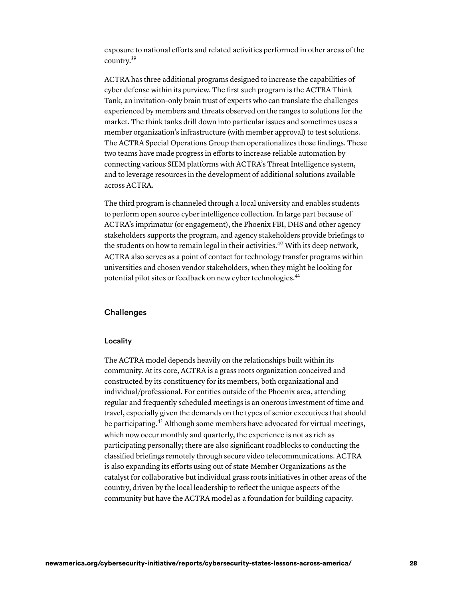exposure to national efforts and related activities performed in other areas of the country. 39

ACTRA has three additional programs designed to increase the capabilities of cyber defense within its purview. The first such program is the ACTRA Think Tank, an invitation-only brain trust of experts who can translate the challenges experienced by members and threats observed on the ranges to solutions for the market. The think tanks drill down into particular issues and sometimes uses a member organization's infrastructure (with member approval) to test solutions. The ACTRA Special Operations Group then operationalizes those findings. These two teams have made progress in efforts to increase reliable automation by connecting various SIEM platforms with ACTRA's Threat Intelligence system, and to leverage resources in the development of additional solutions available across ACTRA.

The third program is channeled through a local university and enables students to perform open source cyber intelligence collection. In large part because of ACTRA's imprimatur (or engagement), the Phoenix FBI, DHS and other agency stakeholders supports the program, and agency stakeholders provide briefings to the students on how to remain legal in their activities.<sup>40</sup> With its deep network, ACTRA also serves as a point of contact for technology transfer programs within universities and chosen vendor stakeholders, when they might be looking for potential pilot sites or feedback on new cyber technologies. 41

# **Challenges**

#### Locality

The ACTRA model depends heavily on the relationships built within its community. At its core, ACTRA is a grass roots organization conceived and constructed by its constituency for its members, both organizational and individual/professional. For entities outside of the Phoenix area, attending regular and frequently scheduled meetings is an onerous investment of time and travel, especially given the demands on the types of senior executives that should be participating.<sup>42</sup> Although some members have advocated for virtual meetings, which now occur monthly and quarterly, the experience is not as rich as participating personally; there are also significant roadblocks to conducting the classified briefings remotely through secure video telecommunications. ACTRA is also expanding its efforts using out of state Member Organizations as the catalyst for collaborative but individual grass roots initiatives in other areas of the country, driven by the local leadership to reflect the unique aspects of the community but have the ACTRA model as a foundation for building capacity.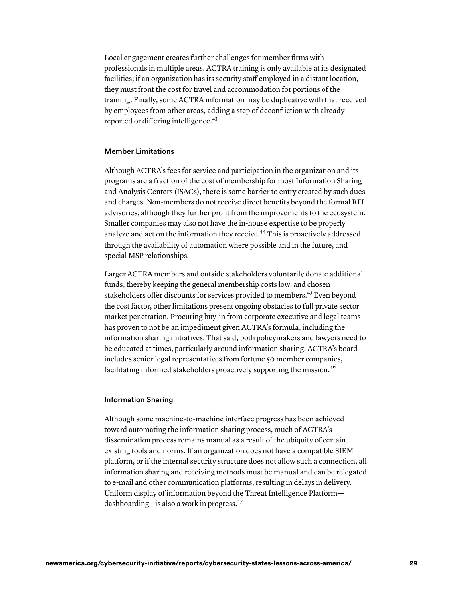Local engagement creates further challenges for member firms with professionals in multiple areas. ACTRA training is only available at its designated facilities; if an organization has its security staff employed in a distant location, they must front the cost for travel and accommodation for portions of the training. Finally, some ACTRA information may be duplicative with that received by employees from other areas, adding a step of deconfliction with already reported or differing intelligence. 43

#### Member Limitations

Although ACTRA's fees for service and participation in the organization and its programs are a fraction of the cost of membership for most Information Sharing and Analysis Centers (ISACs), there is some barrier to entry created by such dues and charges. Non-members do not receive direct benefits beyond the formal RFI advisories, although they further profit from the improvements to the ecosystem. Smaller companies may also not have the in-house expertise to be properly analyze and act on the information they receive.<sup>44</sup> This is proactively addressed through the availability of automation where possible and in the future, and special MSP relationships.

Larger ACTRA members and outside stakeholders voluntarily donate additional funds, thereby keeping the general membership costs low, and chosen stakeholders offer discounts for services provided to members.<sup>45</sup> Even beyond the cost factor, other limitations present ongoing obstacles to full private sector market penetration. Procuring buy-in from corporate executive and legal teams has proven to not be an impediment given ACTRA's formula, including the information sharing initiatives. That said, both policymakers and lawyers need to be educated at times, particularly around information sharing. ACTRA's board includes senior legal representatives from fortune 50 member companies, facilitating informed stakeholders proactively supporting the mission.<sup>46</sup>

#### Information Sharing

Although some machine-to-machine interface progress has been achieved toward automating the information sharing process, much of ACTRA's dissemination process remains manual as a result of the ubiquity of certain existing tools and norms. If an organization does not have a compatible SIEM platform, or if the internal security structure does not allow such a connection, all information sharing and receiving methods must be manual and can be relegated to e-mail and other communication platforms, resulting in delays in delivery. Uniform display of information beyond the Threat Intelligence Platform dashboarding—is also a work in progress. 47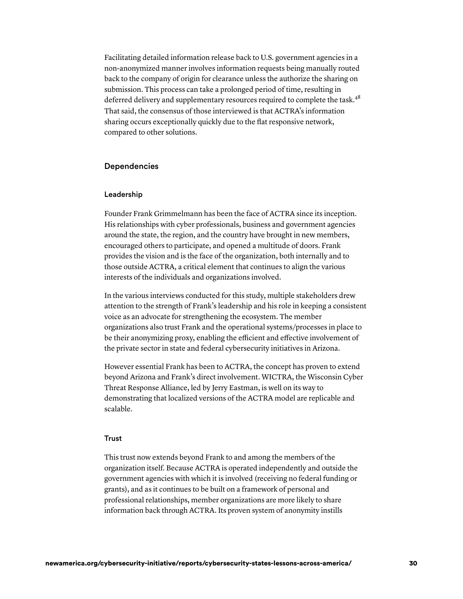Facilitating detailed information release back to U.S. government agencies in a non-anonymized manner involves information requests being manually routed back to the company of origin for clearance unless the authorize the sharing on submission. This process can take a prolonged period of time, resulting in deferred delivery and supplementary resources required to complete the task.<sup>48</sup> That said, the consensus of those interviewed is that ACTRA's information sharing occurs exceptionally quickly due to the flat responsive network, compared to other solutions.

## Dependencies

#### Leadership

Founder Frank Grimmelmann has been the face of ACTRA since its inception. His relationships with cyber professionals, business and government agencies around the state, the region, and the country have brought in new members, encouraged others to participate, and opened a multitude of doors. Frank provides the vision and is the face of the organization, both internally and to those outside ACTRA, a critical element that continues to align the various interests of the individuals and organizations involved.

In the various interviews conducted for this study, multiple stakeholders drew attention to the strength of Frank's leadership and his role in keeping a consistent voice as an advocate for strengthening the ecosystem. The member organizations also trust Frank and the operational systems/processes in place to be their anonymizing proxy, enabling the efficient and effective involvement of the private sector in state and federal cybersecurity initiatives in Arizona.

However essential Frank has been to ACTRA, the concept has proven to extend beyond Arizona and Frank's direct involvement. WICTRA, the Wisconsin Cyber Threat Response Alliance, led by Jerry Eastman, is well on its way to demonstrating that localized versions of the ACTRA model are replicable and scalable.

#### Trust

This trust now extends beyond Frank to and among the members of the organization itself. Because ACTRA is operated independently and outside the government agencies with which it is involved (receiving no federal funding or grants), and as it continues to be built on a framework of personal and professional relationships, member organizations are more likely to share information back through ACTRA. Its proven system of anonymity instills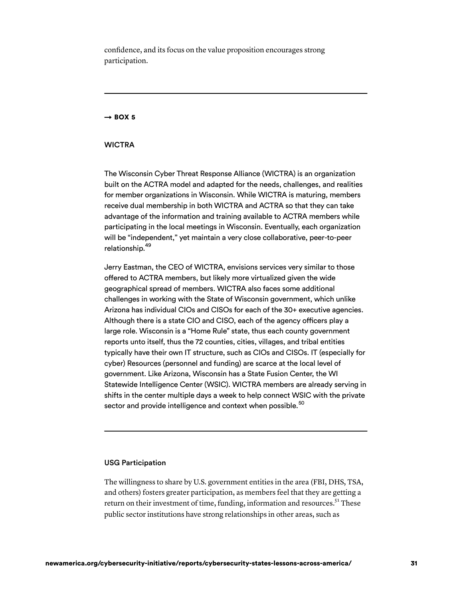confidence, and its focus on the value proposition encourages strong participation.

#### $\rightarrow$  BOX 5

#### **WICTRA**

 The Wisconsin Cyber Threat Response Alliance (WICTRA) is an organization built on the ACTRA model and adapted for the needs, challenges, and realities for member organizations in Wisconsin. While WICTRA is maturing, members receive dual membership in both WICTRA and ACTRA so that they can take advantage of the information and training available to ACTRA members while participating in the local meetings in Wisconsin. Eventually, each organization will be "independent," yet maintain a very close collaborative, peer-to-peer relationship.<sup>49</sup>

 Jerry Eastman, the CEO of WICTRA, envisions services very similar to those offered to ACTRA members, but likely more virtualized given the wide geographical spread of members. WICTRA also faces some additional challenges in working with the State of Wisconsin government, which unlike Arizona has individual CIOs and CISOs for each of the 30+ executive agencies. Although there is a state CIO and CISO, each of the agency officers play a large role. Wisconsin is a "Home Rule" state, thus each county government reports unto itself, thus the 72 counties, cities, villages, and tribal entities typically have their own IT structure, such as CIOs and CISOs. IT (especially for cyber) Resources (personnel and funding) are scarce at the local level of government. Like Arizona, Wisconsin has a State Fusion Center, the WI Statewide Intelligence Center (WSIC). WICTRA members are already serving in shifts in the center multiple days a week to help connect WSIC with the private sector and provide intelligence and context when possible. $^{\rm 50}$ 

#### USG Participation

The willingness to share by U.S. government entities in the area (FBI, DHS, TSA, and others) fosters greater participation, as members feel that they are getting a return on their investment of time, funding, information and resources.<sup>51</sup> These public sector institutions have strong relationships in other areas, such as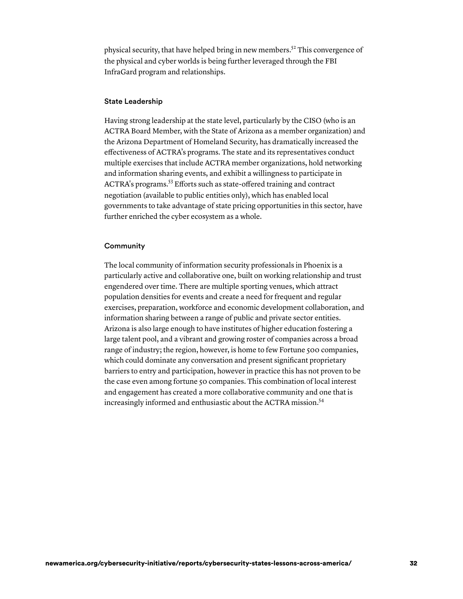physical security, that have helped bring in new members.<sup>52</sup> This convergence of the physical and cyber worlds is being further leveraged through the FBI InfraGard program and relationships.

#### State Leadership

Having strong leadership at the state level, particularly by the CISO (who is an ACTRA Board Member, with the State of Arizona as a member organization) and the Arizona Department of Homeland Security, has dramatically increased the effectiveness of ACTRA's programs. The state and its representatives conduct multiple exercises that include ACTRA member organizations, hold networking and information sharing events, and exhibit a willingness to participate in ACTRA's programs.53 Efforts such as state-offered training and contract negotiation (available to public entities only), which has enabled local governments to take advantage of state pricing opportunities in this sector, have further enriched the cyber ecosystem as a whole.

#### **Community**

The local community of information security professionals in Phoenix is a particularly active and collaborative one, built on working relationship and trust engendered over time. There are multiple sporting venues, which attract population densities for events and create a need for frequent and regular exercises, preparation, workforce and economic development collaboration, and information sharing between a range of public and private sector entities. Arizona is also large enough to have institutes of higher education fostering a large talent pool, and a vibrant and growing roster of companies across a broad range of industry; the region, however, is home to few Fortune 500 companies, which could dominate any conversation and present significant proprietary barriers to entry and participation, however in practice this has not proven to be the case even among fortune 50 companies. This combination of local interest and engagement has created a more collaborative community and one that is increasingly informed and enthusiastic about the ACTRA mission. 54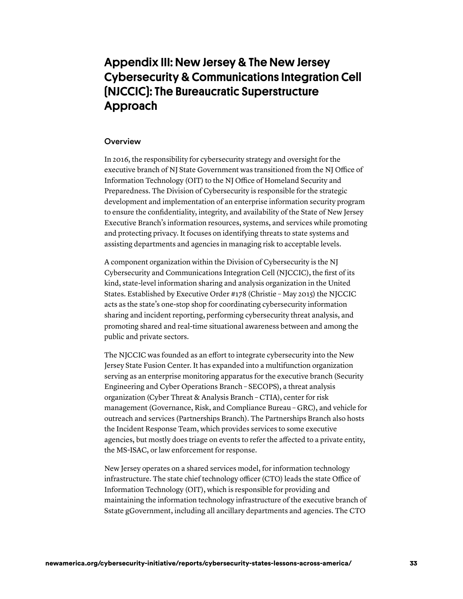# Appendix III: New Jersey & The New Jersey Cybersecurity & Communications Integration Cell (NJCCIC): The Bureaucratic Superstructure Approach

## **Overview**

In 2016, the responsibility for cybersecurity strategy and oversight for the executive branch of NJ State Government was transitioned from the NJ Office of Information Technology (OIT) to the NJ Office of Homeland Security and Preparedness. The Division of Cybersecurity is responsible for the strategic development and implementation of an enterprise information security program to ensure the confidentiality, integrity, and availability of the State of New Jersey Executive Branch's information resources, systems, and services while promoting and protecting privacy. It focuses on identifying threats to state systems and assisting departments and agencies in managing risk to acceptable levels.

A component organization within the Division of Cybersecurity is the NJ Cybersecurity and Communications Integration Cell (NJCCIC), the first of its kind, state-level information sharing and analysis organization in the United States. Established by Executive Order #178 (Christie – May 2015) the NJCCIC acts as the state's one-stop shop for coordinating cybersecurity information sharing and incident reporting, performing cybersecurity threat analysis, and promoting shared and real‐time situational awareness between and among the public and private sectors.

The NJCCIC was founded as an effort to integrate cybersecurity into the New Jersey State Fusion Center. It has expanded into a multifunction organization serving as an enterprise monitoring apparatus for the executive branch (Security Engineering and Cyber Operations Branch – SECOPS), a threat analysis organization (Cyber Threat & Analysis Branch – CTIA), center for risk management (Governance, Risk, and Compliance Bureau – GRC), and vehicle for outreach and services (Partnerships Branch). The Partnerships Branch also hosts the Incident Response Team, which provides services to some executive agencies, but mostly does triage on events to refer the affected to a private entity, the MS-ISAC, or law enforcement for response.

New Jersey operates on a shared services model, for information technology infrastructure. The state chief technology officer (CTO) leads the state Office of Information Technology (OIT), which is responsible for providing and maintaining the information technology infrastructure of the executive branch of Sstate gGovernment, including all ancillary departments and agencies. The CTO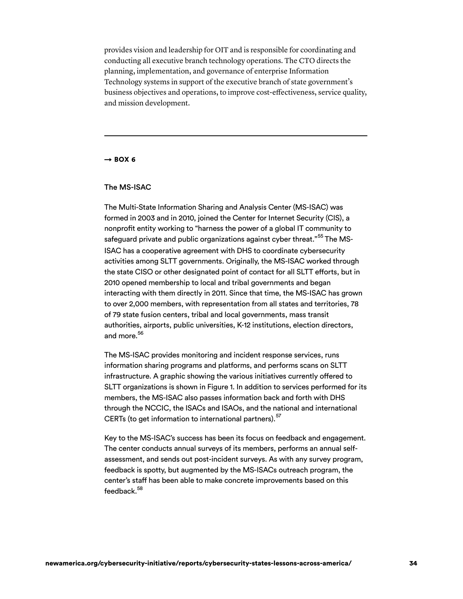provides vision and leadership for OIT and is responsible for coordinating and conducting all executive branch technology operations. The CTO directs the planning, implementation, and governance of enterprise Information Technology systems in support of the executive branch of state government's business objectives and operations, to improve cost-effectiveness, service quality, and mission development.

#### $\rightarrow$  BOX 6

#### The MS-ISAC

 The Multi-State Information Sharing and Analysis Center (MS-ISAC) was formed in 2003 and in 2010, joined the Center for Internet Security (CIS), a nonprofit entity working to "harness the power of a global IT community to safeguard private and public organizations against cyber threat."<sup>55</sup> The MS- ISAC has a cooperative agreement with DHS to coordinate cybersecurity activities among SLTT governments. Originally, the MS-ISAC worked through the state CISO or other designated point of contact for all SLTT efforts, but in 2010 opened membership to local and tribal governments and began interacting with them directly in 2011. Since that time, the MS-ISAC has grown to over 2,000 members, with representation from all states and territories, 78 of 79 state fusion centers, tribal and local governments, mass transit authorities, airports, public universities, K-12 institutions, election directors, and more.<sup>56</sup>

 The MS-ISAC provides monitoring and incident response services, runs information sharing programs and platforms, and performs scans on SLTT infrastructure. A graphic showing the various initiatives currently offered to SLTT organizations is shown in Figure 1. In addition to services performed for its members, the MS-ISAC also passes information back and forth with DHS through the NCCIC, the ISACs and ISAOs, and the national and international CERTs (to get information to international partners).  $^{57}$ 

 Key to the MS-ISAC's success has been its focus on feedback and engagement. The center conducts annual surveys of its members, performs an annual self- assessment, and sends out post-incident surveys. As with any survey program, feedback is spotty, but augmented by the MS-ISACs outreach program, the center's staff has been able to make concrete improvements based on this feedback.<sup>58</sup>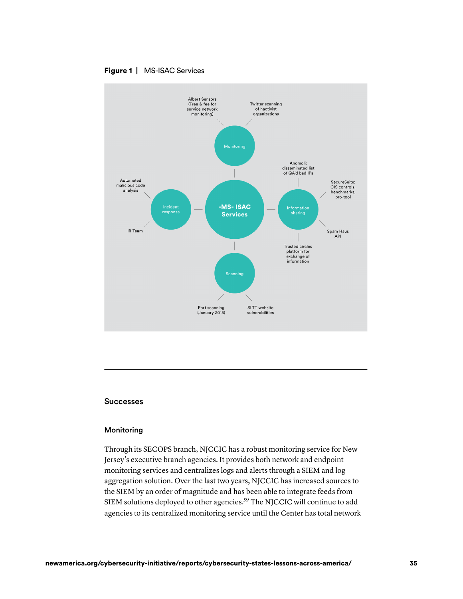



#### Successes

#### Monitoring

Through its SECOPS branch, NJCCIC has a robust monitoring service for New Jersey's executive branch agencies. It provides both network and endpoint monitoring services and centralizes logs and alerts through a SIEM and log aggregation solution. Over the last two years, NJCCIC has increased sources to the SIEM by an order of magnitude and has been able to integrate feeds from SIEM solutions deployed to other agencies.<sup>59</sup> The NJCCIC will continue to add agencies to its centralized monitoring service until the Center has total network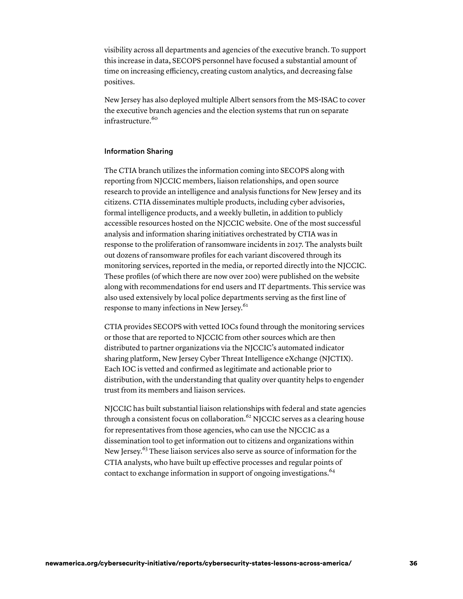visibility across all departments and agencies of the executive branch. To support this increase in data, SECOPS personnel have focused a substantial amount of time on increasing efficiency, creating custom analytics, and decreasing false positives.

New Jersey has also deployed multiple Albert sensors from the MS-ISAC to cover the executive branch agencies and the election systems that run on separate infrastructure. 60

#### Information Sharing

The CTIA branch utilizes the information coming into SECOPS along with reporting from NJCCIC members, liaison relationships, and open source research to provide an intelligence and analysis functions for New Jersey and its citizens. CTIA disseminates multiple products, including cyber advisories, formal intelligence products, and a weekly bulletin, in addition to publicly accessible resources hosted on the NJCCIC website. One of the most successful analysis and information sharing initiatives orchestrated by CTIA was in response to the proliferation of ransomware incidents in 2017. The analysts built out dozens of ransomware profiles for each variant discovered through its monitoring services, reported in the media, or reported directly into the NJCCIC. These profiles (of which there are now over 200) were published on the website along with recommendations for end users and IT departments. This service was also used extensively by local police departments serving as the first line of response to many infections in New Jersey. 61

CTIA provides SECOPS with vetted IOCs found through the monitoring services or those that are reported to NJCCIC from other sources which are then distributed to partner organizations via the NJCCIC's automated indicator sharing platform, New Jersey Cyber Threat Intelligence eXchange (NJCTIX). Each IOC is vetted and confirmed as legitimate and actionable prior to distribution, with the understanding that quality over quantity helps to engender trust from its members and liaison services.

NJCCIC has built substantial liaison relationships with federal and state agencies through a consistent focus on collaboration.<sup>62</sup> NJCCIC serves as a clearing house for representatives from those agencies, who can use the NJCCIC as a dissemination tool to get information out to citizens and organizations within New Jersey.<sup>63</sup> These liaison services also serve as source of information for the CTIA analysts, who have built up effective processes and regular points of contact to exchange information in support of ongoing investigations. 64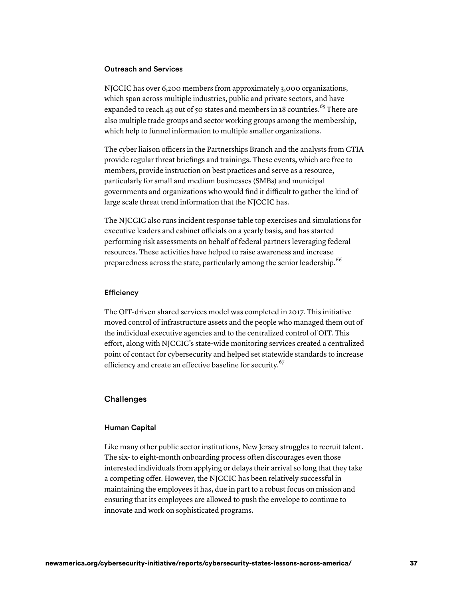#### Outreach and Services

NJCCIC has over 6,200 members from approximately 3,000 organizations, which span across multiple industries, public and private sectors, and have expanded to reach 43 out of 50 states and members in 18 countries.<sup>65</sup> There are also multiple trade groups and sector working groups among the membership, which help to funnel information to multiple smaller organizations.

The cyber liaison officers in the Partnerships Branch and the analysts from CTIA provide regular threat briefings and trainings. These events, which are free to members, provide instruction on best practices and serve as a resource, particularly for small and medium businesses (SMBs) and municipal governments and organizations who would find it difficult to gather the kind of large scale threat trend information that the NJCCIC has.

The NJCCIC also runs incident response table top exercises and simulations for executive leaders and cabinet officials on a yearly basis, and has started performing risk assessments on behalf of federal partners leveraging federal resources. These activities have helped to raise awareness and increase preparedness across the state, particularly among the senior leadership.<sup>66</sup>

#### **Efficiency**

The OIT-driven shared services model was completed in 2017. This initiative moved control of infrastructure assets and the people who managed them out of the individual executive agencies and to the centralized control of OIT. This effort, along with NJCCIC's state-wide monitoring services created a centralized point of contact for cybersecurity and helped set statewide standards to increase efficiency and create an effective baseline for security.<sup>67</sup>

## **Challenges**

#### Human Capital

Like many other public sector institutions, New Jersey struggles to recruit talent. The six- to eight-month onboarding process often discourages even those interested individuals from applying or delays their arrival so long that they take a competing offer. However, the NJCCIC has been relatively successful in maintaining the employees it has, due in part to a robust focus on mission and ensuring that its employees are allowed to push the envelope to continue to innovate and work on sophisticated programs.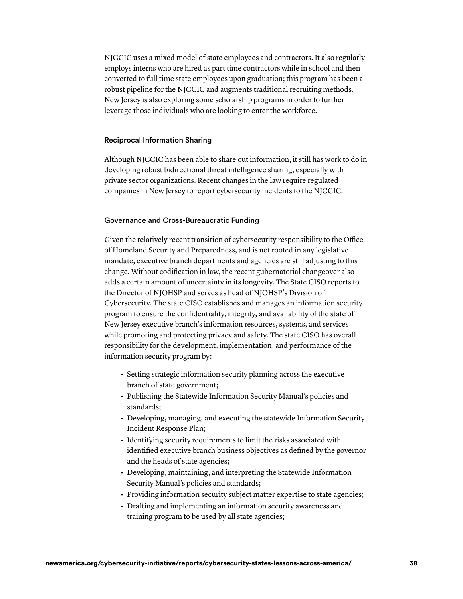NJCCIC uses a mixed model of state employees and contractors. It also regularly employs interns who are hired as part time contractors while in school and then converted to full time state employees upon graduation; this program has been a robust pipeline for the NJCCIC and augments traditional recruiting methods. New Jersey is also exploring some scholarship programs in order to further leverage those individuals who are looking to enter the workforce.

#### Reciprocal Information Sharing

Although NJCCIC has been able to share out information, it still has work to do in developing robust bidirectional threat intelligence sharing, especially with private sector organizations. Recent changes in the law require regulated companies in New Jersey to report cybersecurity incidents to the NJCCIC.

#### Governance and Cross-Bureaucratic Funding

Given the relatively recent transition of cybersecurity responsibility to the Office of Homeland Security and Preparedness, and is not rooted in any legislative mandate, executive branch departments and agencies are still adjusting to this change. Without codification in law, the recent gubernatorial changeover also adds a certain amount of uncertainty in its longevity. The State CISO reports to the Director of NJOHSP and serves as head of NJOHSP's Division of Cybersecurity. The state CISO establishes and manages an information security program to ensure the confidentiality, integrity, and availability of the state of New Jersey executive branch's information resources, systems, and services while promoting and protecting privacy and safety. The state CISO has overall responsibility for the development, implementation, and performance of the information security program by:

- Setting strategic information security planning across the executive branch of state government;
- Publishing the Statewide Information Security Manual's policies and standards;
- Developing, managing, and executing the statewide Information Security Incident Response Plan;
- Identifying security requirements to limit the risks associated with identified executive branch business objectives as defined by the governor and the heads of state agencies;
- Developing, maintaining, and interpreting the Statewide Information Security Manual's policies and standards;
- Providing information security subject matter expertise to state agencies;
- Drafting and implementing an information security awareness and training program to be used by all state agencies;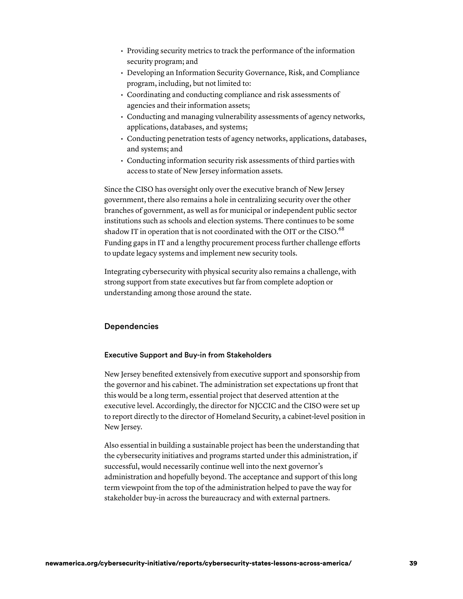- Providing security metrics to track the performance of the information security program; and
- Developing an Information Security Governance, Risk, and Compliance program, including, but not limited to:
- Coordinating and conducting compliance and risk assessments of agencies and their information assets;
- Conducting and managing vulnerability assessments of agency networks, applications, databases, and systems;
- Conducting penetration tests of agency networks, applications, databases, and systems; and
- Conducting information security risk assessments of third parties with access to state of New Jersey information assets.

Since the CISO has oversight only over the executive branch of New Jersey government, there also remains a hole in centralizing security over the other branches of government, as well as for municipal or independent public sector institutions such as schools and election systems. There continues to be some shadow IT in operation that is not coordinated with the OIT or the CISO.<sup>68</sup> Funding gaps in IT and a lengthy procurement process further challenge efforts to update legacy systems and implement new security tools.

Integrating cybersecurity with physical security also remains a challenge, with strong support from state executives but far from complete adoption or understanding among those around the state.

# Dependencies

### Executive Support and Buy-in from Stakeholders

New Jersey benefited extensively from executive support and sponsorship from the governor and his cabinet. The administration set expectations up front that this would be a long term, essential project that deserved attention at the executive level. Accordingly, the director for NJCCIC and the CISO were set up to report directly to the director of Homeland Security, a cabinet-level position in New Jersey.

Also essential in building a sustainable project has been the understanding that the cybersecurity initiatives and programs started under this administration, if successful, would necessarily continue well into the next governor's administration and hopefully beyond. The acceptance and support of this long term viewpoint from the top of the administration helped to pave the way for stakeholder buy-in across the bureaucracy and with external partners.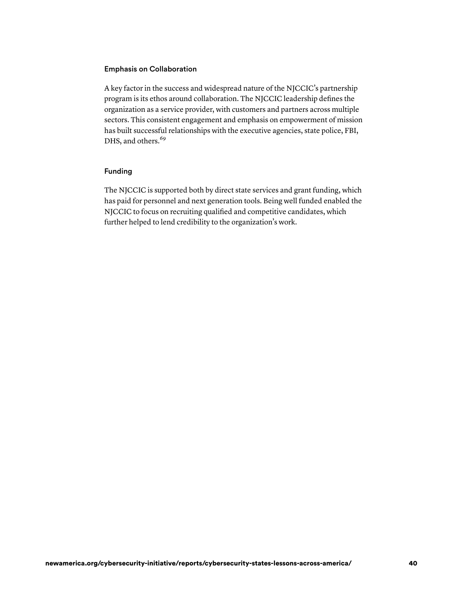## Emphasis on Collaboration

A key factor in the success and widespread nature of the NJCCIC's partnership program is its ethos around collaboration. The NJCCIC leadership defines the organization as a service provider, with customers and partners across multiple sectors. This consistent engagement and emphasis on empowerment of mission has built successful relationships with the executive agencies, state police, FBI, DHS, and others.<sup>69</sup>

# Funding

The NJCCIC is supported both by direct state services and grant funding, which has paid for personnel and next generation tools. Being well funded enabled the NJCCIC to focus on recruiting qualified and competitive candidates, which further helped to lend credibility to the organization's work.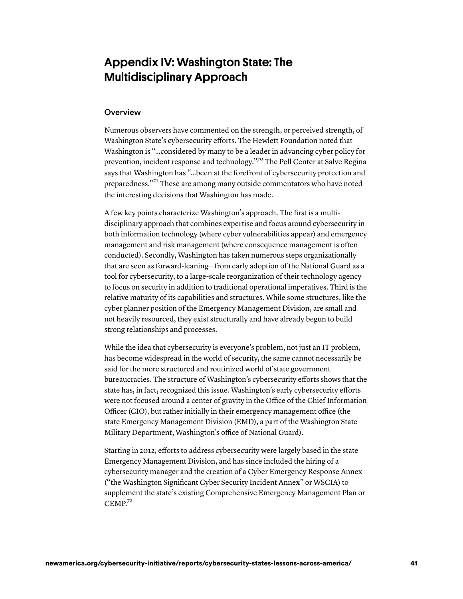# Appendix IV: Washington State: The Multidisciplinary Approach

## **Overview**

Numerous observers have commented on the strength, or perceived strength, of Washington State's cybersecurity efforts. The Hewlett Foundation noted that Washington is "…considered by many to be a leader in advancing cyber policy for prevention, incident response and technology."70 The Pell Center at Salve Regina says that Washington has "…been at the forefront of cybersecurity protection and preparedness."71 These are among many outside commentators who have noted the interesting decisions that Washington has made.

A few key points characterize Washington's approach. The first is a multidisciplinary approach that combines expertise and focus around cybersecurity in both information technology (where cyber vulnerabilities appear) and emergency management and risk management (where consequence management is often conducted). Secondly, Washington has taken numerous steps organizationally that are seen as forward-leaning—from early adoption of the National Guard as a tool for cybersecurity, to a large-scale reorganization of their technology agency to focus on security in addition to traditional operational imperatives. Third is the relative maturity of its capabilities and structures. While some structures, like the cyber planner position of the Emergency Management Division, are small and not heavily resourced, they exist structurally and have already begun to build strong relationships and processes.

While the idea that cybersecurity is everyone's problem, not just an IT problem, has become widespread in the world of security, the same cannot necessarily be said for the more structured and routinized world of state government bureaucracies. The structure of Washington's cybersecurity efforts shows that the state has, in fact, recognized this issue. Washington's early cybersecurity efforts were not focused around a center of gravity in the Office of the Chief Information Officer (CIO), but rather initially in their emergency management office (the state Emergency Management Division (EMD), a part of the Washington State Military Department, Washington's office of National Guard).

Starting in 2012, efforts to address cybersecurity were largely based in the state Emergency Management Division, and has since included the hiring of a cybersecurity manager and the creation of a Cyber Emergency Response Annex ("the Washington Significant Cyber Security Incident Annex" or WSCIA) to supplement the state's existing Comprehensive Emergency Management Plan or  $CEMP<sup>72</sup>$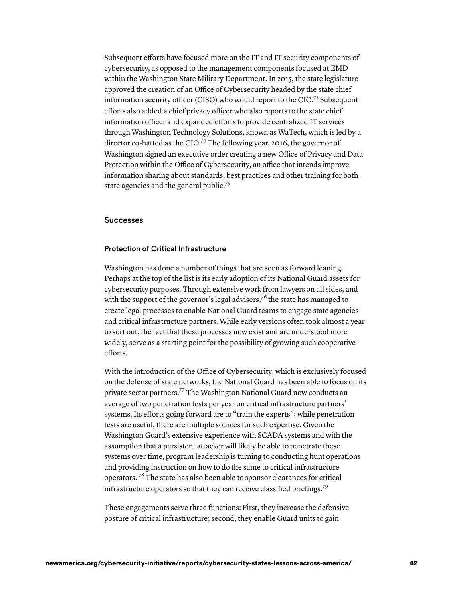Subsequent efforts have focused more on the IT and IT security components of cybersecurity, as opposed to the management components focused at EMD within the Washington State Military Department. In 2015, the state legislature approved the creation of an Office of Cybersecurity headed by the state chief information security officer (CISO) who would report to the CIO.<sup>73</sup> Subsequent efforts also added a chief privacy officer who also reports to the state chief information officer and expanded efforts to provide centralized IT services through Washington Technology Solutions, known as WaTech, which is led by a director co-hatted as the CIO.<sup>74</sup> The following year, 2016, the governor of Washington signed an executive order creating a new Office of Privacy and Data Protection within the Office of Cybersecurity, an office that intends improve information sharing about standards, best practices and other training for both state agencies and the general public.<sup>75</sup>

## Successes

#### Protection of Critical Infrastructure

Washington has done a number of things that are seen as forward leaning. Perhaps at the top of the list is its early adoption of its National Guard assets for cybersecurity purposes. Through extensive work from lawyers on all sides, and with the support of the governor's legal advisers,<sup>76</sup> the state has managed to create legal processes to enable National Guard teams to engage state agencies and critical infrastructure partners. While early versions often took almost a year to sort out, the fact that these processes now exist and are understood more widely, serve as a starting point for the possibility of growing such cooperative efforts.

With the introduction of the Office of Cybersecurity, which is exclusively focused on the defense of state networks, the National Guard has been able to focus on its private sector partners.77 The Washington National Guard now conducts an average of two penetration tests per year on critical infrastructure partners' systems. Its efforts going forward are to "train the experts"; while penetration tests are useful, there are multiple sources for such expertise. Given the Washington Guard's extensive experience with SCADA systems and with the assumption that a persistent attacker will likely be able to penetrate these systems over time, program leadership is turning to conducting hunt operations and providing instruction on how to do the same to critical infrastructure operators.<sup>78</sup> The state has also been able to sponsor clearances for critical infrastructure operators so that they can receive classified briefings.<sup>79</sup>

These engagements serve three functions: First, they increase the defensive posture of critical infrastructure; second, they enable Guard units to gain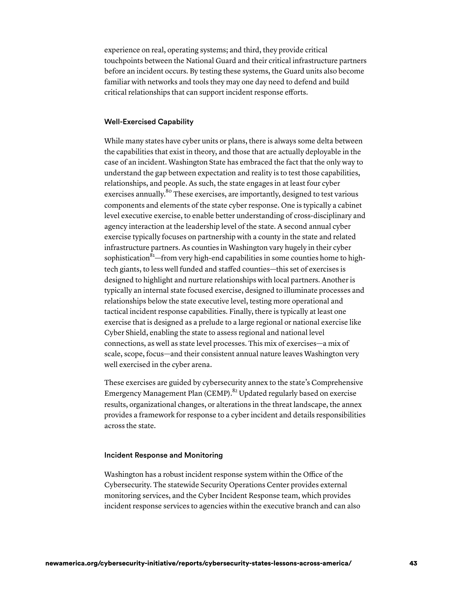experience on real, operating systems; and third, they provide critical touchpoints between the National Guard and their critical infrastructure partners before an incident occurs. By testing these systems, the Guard units also become familiar with networks and tools they may one day need to defend and build critical relationships that can support incident response efforts.

#### Well-Exercised Capability

While many states have cyber units or plans, there is always some delta between the capabilities that exist in theory, and those that are actually deployable in the case of an incident. Washington State has embraced the fact that the only way to understand the gap between expectation and reality is to test those capabilities, relationships, and people. As such, the state engages in at least four cyber exercises annually.<sup>80</sup> These exercises, are importantly, designed to test various components and elements of the state cyber response. One is typically a cabinet level executive exercise, to enable better understanding of cross-disciplinary and agency interaction at the leadership level of the state. A second annual cyber exercise typically focuses on partnership with a county in the state and related infrastructure partners. As counties in Washington vary hugely in their cyber sophistication ${}^{81}$ —from very high-end capabilities in some counties home to hightech giants, to less well funded and staffed counties—this set of exercises is designed to highlight and nurture relationships with local partners. Another is typically an internal state focused exercise, designed to illuminate processes and relationships below the state executive level, testing more operational and tactical incident response capabilities. Finally, there is typically at least one exercise that is designed as a prelude to a large regional or national exercise like Cyber Shield, enabling the state to assess regional and national level connections, as well as state level processes. This mix of exercises—a mix of scale, scope, focus—and their consistent annual nature leaves Washington very well exercised in the cyber arena.

These exercises are guided by cybersecurity annex to the state's Comprehensive Emergency Management Plan (CEMP).<sup>82</sup> Updated regularly based on exercise results, organizational changes, or alterations in the threat landscape, the annex provides a framework for response to a cyber incident and details responsibilities across the state.

#### Incident Response and Monitoring

Washington has a robust incident response system within the Office of the Cybersecurity. The statewide Security Operations Center provides external monitoring services, and the Cyber Incident Response team, which provides incident response services to agencies within the executive branch and can also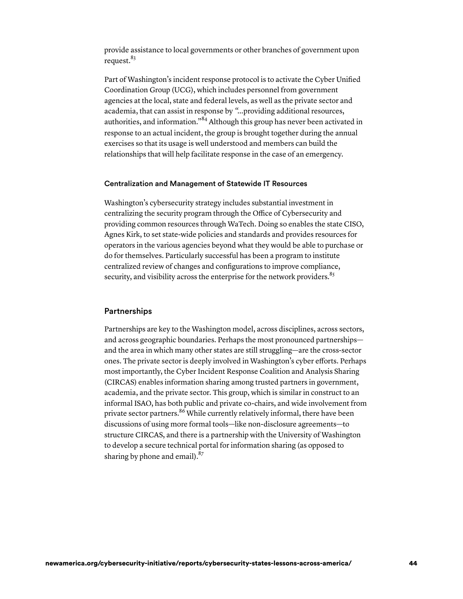provide assistance to local governments or other branches of government upon request.<sup>83</sup>

Part of Washington's incident response protocol is to activate the Cyber Unified Coordination Group (UCG), which includes personnel from government agencies at the local, state and federal levels, as well as the private sector and academia, that can assist in response by *"…*providing additional resources, authorities, and information."84 Although this group has never been activated in response to an actual incident, the group is brought together during the annual exercises so that its usage is well understood and members can build the relationships that will help facilitate response in the case of an emergency.

#### Centralization and Management of Statewide IT Resources

Washington's cybersecurity strategy includes substantial investment in centralizing the security program through the Office of Cybersecurity and providing common resources through WaTech. Doing so enables the state CISO, Agnes Kirk, to set state-wide policies and standards and provides resources for operators in the various agencies beyond what they would be able to purchase or do for themselves. Particularly successful has been a program to institute centralized review of changes and configurations to improve compliance, security, and visibility across the enterprise for the network providers.<sup>85</sup>

## **Partnerships**

Partnerships are key to the Washington model, across disciplines, across sectors, and across geographic boundaries. Perhaps the most pronounced partnerships and the area in which many other states are still struggling—are the cross-sector ones. The private sector is deeply involved in Washington's cyber efforts. Perhaps most importantly, the Cyber Incident Response Coalition and Analysis Sharing (CIRCAS) enables information sharing among trusted partners in government, academia, and the private sector. This group, which is similar in construct to an informal ISAO, has both public and private co-chairs, and wide involvement from private sector partners.<sup>86</sup> While currently relatively informal, there have been discussions of using more formal tools—like non-disclosure agreements—to structure CIRCAS, and there is a partnership with the University of Washington to develop a secure technical portal for information sharing (as opposed to sharing by phone and email). $^{87}$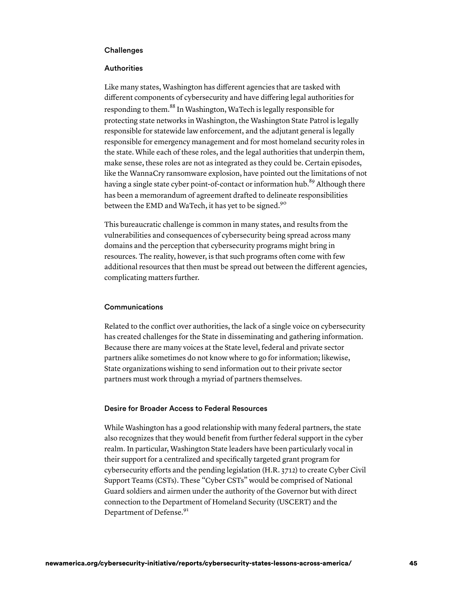## **Challenges**

#### **Authorities**

Like many states, Washington has different agencies that are tasked with different components of cybersecurity and have differing legal authorities for responding to them.<sup>88</sup> In Washington, WaTech is legally responsible for protecting state networks in Washington, the Washington State Patrol is legally responsible for statewide law enforcement, and the adjutant general is legally responsible for emergency management and for most homeland security roles in the state. While each of these roles, and the legal authorities that underpin them, make sense, these roles are not as integrated as they could be. Certain episodes, like the WannaCry ransomware explosion, have pointed out the limitations of not having a single state cyber point-of-contact or information hub.<sup>89</sup> Although there has been a memorandum of agreement drafted to delineate responsibilities between the EMD and WaTech, it has yet to be signed.<sup>90</sup>

This bureaucratic challenge is common in many states, and results from the vulnerabilities and consequences of cybersecurity being spread across many domains and the perception that cybersecurity programs might bring in resources. The reality, however, is that such programs often come with few additional resources that then must be spread out between the different agencies, complicating matters further.

#### Communications

Related to the conflict over authorities, the lack of a single voice on cybersecurity has created challenges for the State in disseminating and gathering information. Because there are many voices at the State level, federal and private sector partners alike sometimes do not know where to go for information; likewise, State organizations wishing to send information out to their private sector partners must work through a myriad of partners themselves.

#### Desire for Broader Access to Federal Resources

While Washington has a good relationship with many federal partners, the state also recognizes that they would benefit from further federal support in the cyber realm. In particular, Washington State leaders have been particularly vocal in their support for a centralized and specifically targeted grant program for cybersecurity efforts and the pending legislation (H.R. 3712) to create Cyber Civil Support Teams (CSTs). These "Cyber CSTs" would be comprised of National Guard soldiers and airmen under the authority of the Governor but with direct connection to the Department of Homeland Security (USCERT) and the Department of Defense.<sup>91</sup>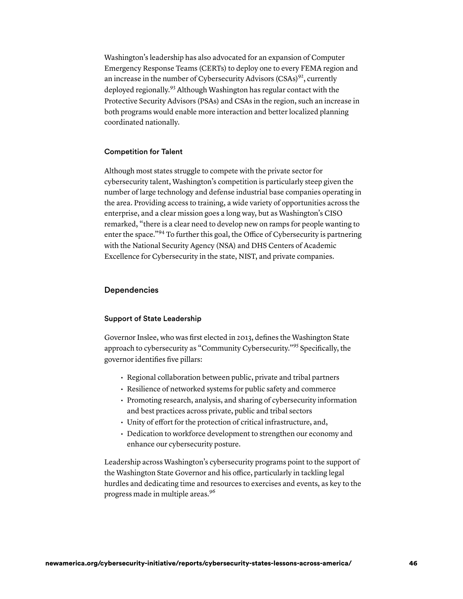Washington's leadership has also advocated for an expansion of Computer Emergency Response Teams (CERTs) to deploy one to every FEMA region and an increase in the number of Cybersecurity Advisors  $(CSAs)^{92}$ , currently deployed regionally.93 Although Washington has regular contact with the Protective Security Advisors (PSAs) and CSAs in the region, such an increase in both programs would enable more interaction and better localized planning coordinated nationally.

#### Competition for Talent

Although most states struggle to compete with the private sector for cybersecurity talent, Washington's competition is particularly steep given the number of large technology and defense industrial base companies operating in the area. Providing access to training, a wide variety of opportunities across the enterprise, and a clear mission goes a long way, but as Washington's CISO remarked, "there is a clear need to develop new on ramps for people wanting to enter the space."94 To further this goal, the Office of Cybersecurity is partnering with the National Security Agency (NSA) and DHS Centers of Academic Excellence for Cybersecurity in the state, NIST, and private companies.

#### **Dependencies**

#### Support of State Leadership

Governor Inslee, who was first elected in 2013, defines the Washington State approach to cybersecurity as "Community Cybersecurity."95 Specifically, the governor identifies five pillars:

- Regional collaboration between public, private and tribal partners
- Resilience of networked systems for public safety and commerce
- Promoting research, analysis, and sharing of cybersecurity information and best practices across private, public and tribal sectors
- Unity of effort for the protection of critical infrastructure, and,
- Dedication to workforce development to strengthen our economy and enhance our cybersecurity posture.

Leadership across Washington's cybersecurity programs point to the support of the Washington State Governor and his office, particularly in tackling legal hurdles and dedicating time and resources to exercises and events, as key to the progress made in multiple areas. 96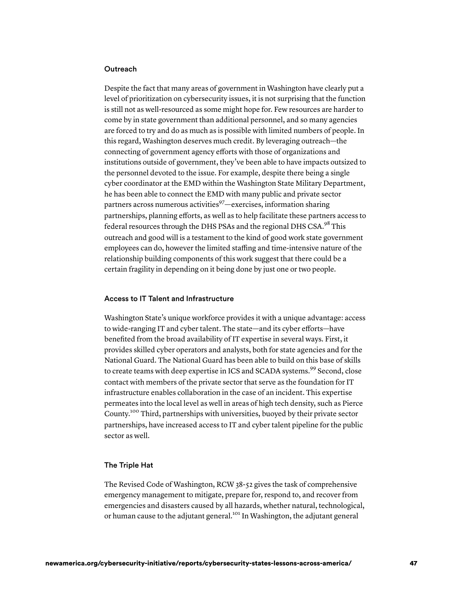#### Outreach

Despite the fact that many areas of government in Washington have clearly put a level of prioritization on cybersecurity issues, it is not surprising that the function is still not as well-resourced as some might hope for. Few resources are harder to come by in state government than additional personnel, and so many agencies are forced to try and do as much as is possible with limited numbers of people. In this regard, Washington deserves much credit. By leveraging outreach—the connecting of government agency efforts with those of organizations and institutions outside of government, they've been able to have impacts outsized to the personnel devoted to the issue. For example, despite there being a single cyber coordinator at the EMD within the Washington State Military Department, he has been able to connect the EMD with many public and private sector partners across numerous activities  $97$ —exercises, information sharing partnerships, planning efforts, as well as to help facilitate these partners access to federal resources through the DHS PSAs and the regional DHS CSA.<sup>98</sup> This outreach and good will is a testament to the kind of good work state government employees can do, however the limited staffing and time-intensive nature of the relationship building components of this work suggest that there could be a certain fragility in depending on it being done by just one or two people.

#### Access to IT Talent and Infrastructure

Washington State's unique workforce provides it with a unique advantage: access to wide-ranging IT and cyber talent. The state—and its cyber efforts—have benefited from the broad availability of IT expertise in several ways. First, it provides skilled cyber operators and analysts, both for state agencies and for the National Guard. The National Guard has been able to build on this base of skills to create teams with deep expertise in ICS and SCADA systems.<sup>99</sup> Second, close contact with members of the private sector that serve as the foundation for IT infrastructure enables collaboration in the case of an incident. This expertise permeates into the local level as well in areas of high tech density, such as Pierce County.100 Third, partnerships with universities, buoyed by their private sector partnerships, have increased access to IT and cyber talent pipeline for the public sector as well.

#### The Triple Hat

The Revised Code of Washington, RCW 38-52 gives the task of comprehensive emergency management to mitigate, prepare for, respond to, and recover from emergencies and disasters caused by all hazards, whether natural, technological, or human cause to the adjutant general.<sup>101</sup> In Washington, the adjutant general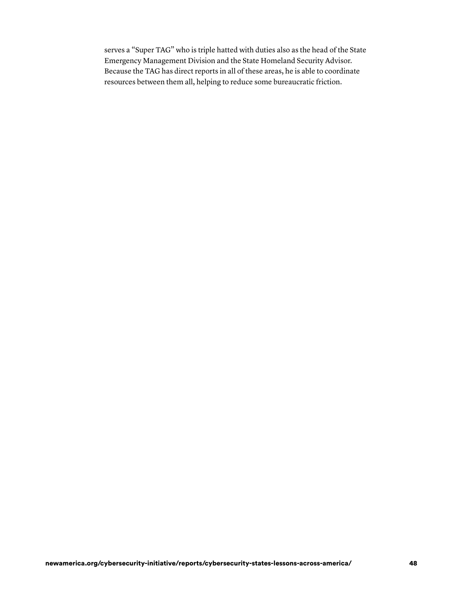serves a "Super TAG" who is triple hatted with duties also as the head of the State Emergency Management Division and the State Homeland Security Advisor. Because the TAG has direct reports in all of these areas, he is able to coordinate resources between them all, helping to reduce some bureaucratic friction.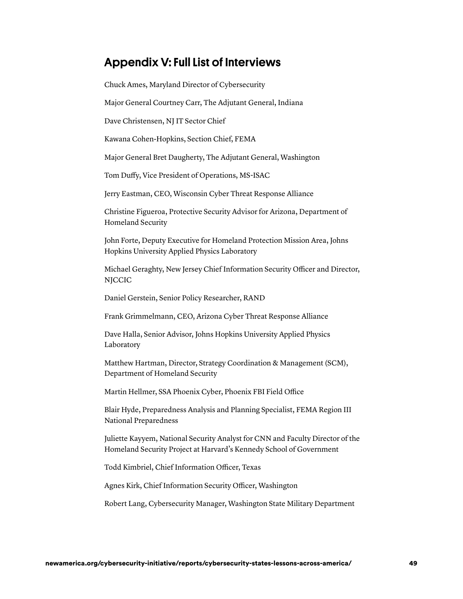# Appendix V: Full List of Interviews

Chuck Ames, Maryland Director of Cybersecurity

Major General Courtney Carr, The Adjutant General, Indiana

Dave Christensen, NJ IT Sector Chief

Kawana Cohen-Hopkins, Section Chief, FEMA

Major General Bret Daugherty, The Adjutant General, Washington

Tom Duffy, Vice President of Operations, MS-ISAC

Jerry Eastman, CEO, Wisconsin Cyber Threat Response Alliance

Christine Figueroa, Protective Security Advisor for Arizona, Department of Homeland Security

John Forte, Deputy Executive for Homeland Protection Mission Area, Johns Hopkins University Applied Physics Laboratory

Michael Geraghty, New Jersey Chief Information Security Officer and Director, NJCCIC

Daniel Gerstein, Senior Policy Researcher, RAND

Frank Grimmelmann, CEO, Arizona Cyber Threat Response Alliance

Dave Halla, Senior Advisor, Johns Hopkins University Applied Physics Laboratory

Matthew Hartman, Director, Strategy Coordination & Management (SCM), Department of Homeland Security

Martin Hellmer, SSA Phoenix Cyber, Phoenix FBI Field Office

Blair Hyde, Preparedness Analysis and Planning Specialist, FEMA Region III National Preparedness

Juliette Kayyem, National Security Analyst for CNN and Faculty Director of the Homeland Security Project at Harvard's Kennedy School of Government

Todd Kimbriel, Chief Information Officer, Texas

Agnes Kirk, Chief Information Security Officer, Washington

Robert Lang, Cybersecurity Manager, Washington State Military Department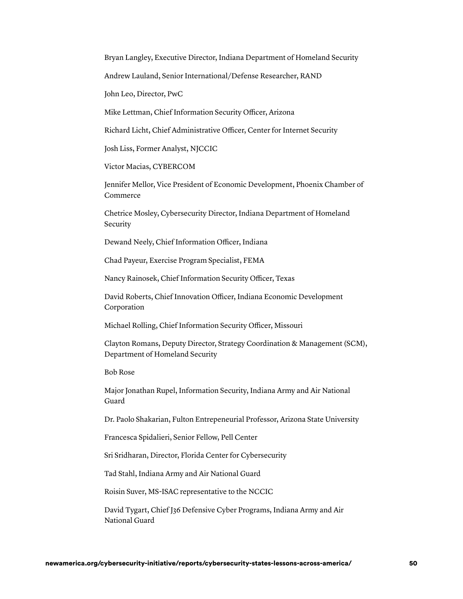Bryan Langley, Executive Director, Indiana Department of Homeland Security

Andrew Lauland, Senior International/Defense Researcher, RAND

John Leo, Director, PwC

Mike Lettman, Chief Information Security Officer, Arizona

Richard Licht, Chief Administrative Officer, Center for Internet Security

Josh Liss, Former Analyst, NJCCIC

Victor Macias, CYBERCOM

Jennifer Mellor, Vice President of Economic Development, Phoenix Chamber of Commerce

Chetrice Mosley, Cybersecurity Director, Indiana Department of Homeland Security

Dewand Neely, Chief Information Officer, Indiana

Chad Payeur, Exercise Program Specialist, FEMA

Nancy Rainosek, Chief Information Security Officer, Texas

David Roberts, Chief Innovation Officer, Indiana Economic Development Corporation

Michael Rolling, Chief Information Security Officer, Missouri

Clayton Romans, Deputy Director, Strategy Coordination & Management (SCM), Department of Homeland Security

Bob Rose

Major Jonathan Rupel, Information Security, Indiana Army and Air National Guard

Dr. Paolo Shakarian, Fulton Entrepeneurial Professor, Arizona State University

Francesca Spidalieri, Senior Fellow, Pell Center

Sri Sridharan, Director, Florida Center for Cybersecurity

Tad Stahl, Indiana Army and Air National Guard

Roisin Suver, MS-ISAC representative to the NCCIC

David Tygart, Chief J36 Defensive Cyber Programs, Indiana Army and Air National Guard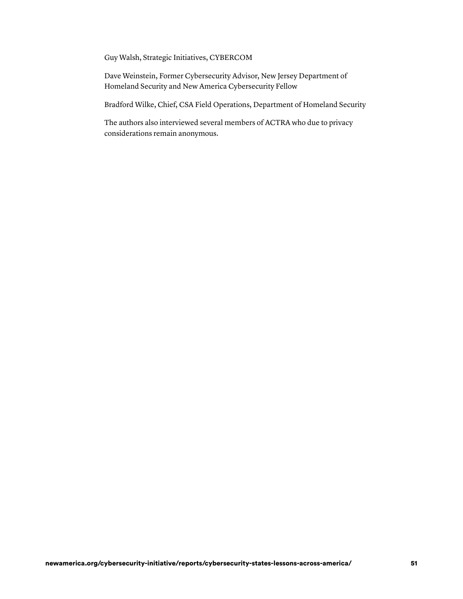Guy Walsh, Strategic Initiatives, CYBERCOM

Dave Weinstein, Former Cybersecurity Advisor, New Jersey Department of Homeland Security and New America Cybersecurity Fellow

Bradford Wilke, Chief, CSA Field Operations, Department of Homeland Security

The authors also interviewed several members of ACTRA who due to privacy considerations remain anonymous.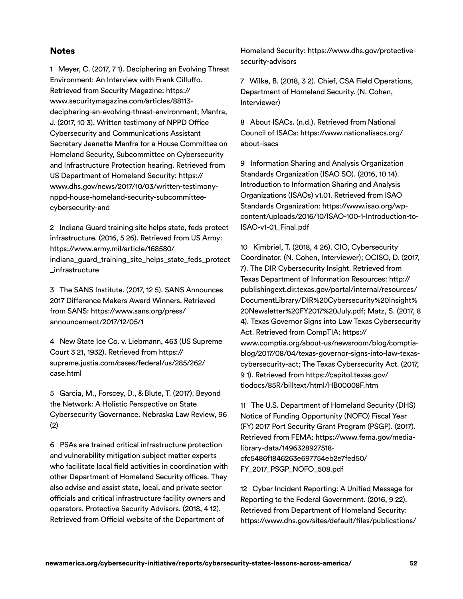# **Notes**

 1 Meyer, C. (2017, 7 1). Deciphering an Evolving Threat Environment: An Interview with Frank Cilluffo. Retrieved from Security Magazine: [https://](https://www.securitymagazine.com/articles/88113-deciphering-an-evolving-threat-environment)  J. (2017, 10 3). Written testimony of NPPD Office Cybersecurity and Communications Assistant Secretary Jeanette Manfra for a House Committee on Homeland Security, Subcommittee on Cybersecurity and Infrastructure Protection hearing. Retrieved from US Department of Homeland Security: [https://](https://www.dhs.gov/news/2017/10/03/written-testimony-nppd-house-homeland-security-subcommittee-cybersecurity-and)  [www.securitymagazine.com/articles/88113](https://www.securitymagazine.com/articles/88113-deciphering-an-evolving-threat-environment) [deciphering-an-evolving-threat-environment;](https://www.securitymagazine.com/articles/88113-deciphering-an-evolving-threat-environment) Manfra, [www.dhs.gov/news/2017/10/03/written-testimony](https://www.dhs.gov/news/2017/10/03/written-testimony-nppd-house-homeland-security-subcommittee-cybersecurity-and)[nppd-house-homeland-security-subcommittee](https://www.dhs.gov/news/2017/10/03/written-testimony-nppd-house-homeland-security-subcommittee-cybersecurity-and)[cybersecurity-and](https://www.dhs.gov/news/2017/10/03/written-testimony-nppd-house-homeland-security-subcommittee-cybersecurity-and) 

 2 Indiana Guard training site helps state, feds protect infrastructure. (2016, 5 26). Retrieved from US Army: https://www.army.mil/article/168580/ [indiana\\_guard\\_training\\_site\\_helps\\_state\\_feds\\_protect](https://www.army.mil/article/168580/indiana_guard_training_site_helps_state_feds_protect_infrastructure)  \_infrastructure

 3 The SANS Institute. (2017, 12 5). SANS Announces 2017 Difference Makers Award Winners. Retrieved from SANS: [https://www.sans.org/press/](https://www.sans.org/press/announcement/2017/12/05/1)  [announcement/2017/12/05/1](https://www.sans.org/press/announcement/2017/12/05/1) 

 4 New State Ice Co. v. Liebmann, 463 (US Supreme Court 3 21, 1932). Retrieved from [https://](https://supreme.justia.com/cases/federal/us/285/262/case.html)  [supreme.justia.com/cases/federal/us/285/262/](https://supreme.justia.com/cases/federal/us/285/262/case.html) case.html

 5 Garcia, M., Forscey, D., & Blute, T. (2017). Beyond the Network: A Holistic Perspective on State Cybersecurity Governance. Nebraska Law Review, 96 (2)

 6 PSAs are trained critical infrastructure protection and vulnerability mitigation subject matter experts who facilitate local field activities in coordination with other Department of Homeland Security offices. They also advise and assist state, local, and private sector officials and critical infrastructure facility owners and operators. Protective Security Advisors. (2018, 4 12). Retrieved from Official website of the Department of

 Homeland Security: [https://www.dhs.gov/protective](https://www.dhs.gov/protective-security-advisors)[security-advisors](https://www.dhs.gov/protective-security-advisors) 

 7 Wilke, B. (2018, 3 2). Chief, CSA Field Operations, Department of Homeland Security. (N. Cohen, Interviewer)

 8 About ISACs. (n.d.). Retrieved from National Council of ISACs: [https://www.nationalisacs.org/](https://www.nationalisacs.org/about-isacs) [about-isacs](https://www.nationalisacs.org/about-isacs)

 9 Information Sharing and Analysis Organization Standards Organization (ISAO SO). (2016, 10 14). Introduction to Information Sharing and Analysis Organizations (ISAOs) v1.01. Retrieved from ISAO Standards Organization: [https://www.isao.org/wp](https://www.isao.org/wp-content/uploads/2016/10/ISAO-100-1-Introduction-to-ISAO-v1-01_Final.pdf)[content/uploads/2016/10/ISAO-100-1-Introduction-to-](https://www.isao.org/wp-content/uploads/2016/10/ISAO-100-1-Introduction-to-ISAO-v1-01_Final.pdf)[ISAO-v1-01\\_Final.pdf](https://www.isao.org/wp-content/uploads/2016/10/ISAO-100-1-Introduction-to-ISAO-v1-01_Final.pdf) 

 10 Kimbriel, T. (2018, 4 26). CIO, Cybersecurity Coordinator. (N. Cohen, Interviewer); OCISO, D. (2017, 7). The DIR Cybersecurity Insight. Retrieved from Texas Department of Information Resources[: http://](http://publishingext.dir.texas.gov/portal/internal/resources/DocumentLibrary/DIR%20Cybersecurity%20Insight%20Newsletter%20FY2017%20July.pdf)  [20Newsletter%20FY2017%20July.pdf;](http://publishingext.dir.texas.gov/portal/internal/resources/DocumentLibrary/DIR%20Cybersecurity%20Insight%20Newsletter%20FY2017%20July.pdf) Matz, S. (2017, 8 4). Texas Governor Signs into Law Texas Cybersecurity Act. Retrieved from CompTIA: [https://](https://www.comptia.org/about-us/newsroom/blog/comptia-blog/2017/08/04/texas-governor-signs-into-law-texas-cybersecurity-act)  [cybersecurity-act;](https://www.comptia.org/about-us/newsroom/blog/comptia-blog/2017/08/04/texas-governor-signs-into-law-texas-cybersecurity-act) The Texas Cybersecurity Act. (2017, publishingext.dir.texas.gov/portal/internal/resources/ [DocumentLibrary/DIR%20Cybersecurity%20Insight%](http://publishingext.dir.texas.gov/portal/internal/resources/DocumentLibrary/DIR%20Cybersecurity%20Insight%20Newsletter%20FY2017%20July.pdf)  [www.comptia.org/about-us/newsroom/blog/comptia](https://www.comptia.org/about-us/newsroom/blog/comptia-blog/2017/08/04/texas-governor-signs-into-law-texas-cybersecurity-act)[blog/2017/08/04/texas-governor-signs-into-law-texas-](https://www.comptia.org/about-us/newsroom/blog/comptia-blog/2017/08/04/texas-governor-signs-into-law-texas-cybersecurity-act)9 1). Retrieved fro[m https://capitol.texas.gov/](https://capitol.texas.gov/tlodocs/85R/billtext/html/HB00008F.htm)  [tlodocs/85R/billtext/html/HB00008F.htm](https://capitol.texas.gov/tlodocs/85R/billtext/html/HB00008F.htm) 

 11 The U.S. Department of Homeland Security (DHS) Notice of Funding Opportunity (NOFO) Fiscal Year (FY) 2017 Port Security Grant Program (PSGP). (2017). Retrieved from FEMA: [https://www.fema.gov/media](https://www.fema.gov/media-library-data/1496328927518-cfc5486f1846263e697754eb2e7fed50/FY_2017_PSGP_NOFO_508.pdf)library-data/1496328927518 [cfc5486f1846263e697754eb2e7fed50/](https://www.fema.gov/media-library-data/1496328927518-cfc5486f1846263e697754eb2e7fed50/FY_2017_PSGP_NOFO_508.pdf)  FY\_2017\_PSGP\_NOFO\_508.pdf

 12 Cyber Incident Reporting: A Unified Message for Reporting to the Federal Government. (2016, 9 22). Retrieved from Department of Homeland Security: [https://www.dhs.gov/sites/default/](https://www.dhs.gov/sites/default/les/publications/Cyber%20Incident%20Reporting%20United%20Message.pdf)files/publications/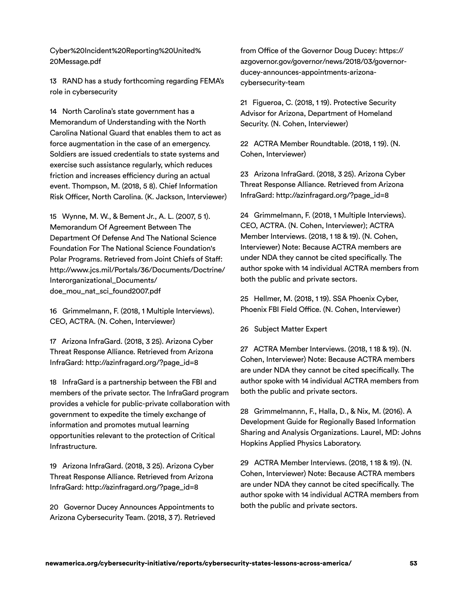[Cyber%20Incident%20Reporting%20United%](https://www.dhs.gov/sites/default/les/publications/Cyber%20Incident%20Reporting%20United%20Message.pdf)  20Message.pdf

 13 RAND has a study forthcoming regarding FEMA's role in cybersecurity

 14 North Carolina's state government has a Memorandum of Understanding with the North Carolina National Guard that enables them to act as force augmentation in the case of an emergency. Soldiers are issued credentials to state systems and exercise such assistance regularly, which reduces friction and increases efficiency during an actual event. Thompson, M. (2018, 5 8). Chief Information Risk Officer, North Carolina. (K. Jackson, Interviewer)

 15 Wynne, M. W., & Bement Jr., A. L. (2007, 5 1). Memorandum Of Agreement Between The Department Of Defense And The National Science Foundation For The National Science Foundation's Polar Programs. Retrieved from Joint Chiefs of Staff: [http://www.jcs.mil/Portals/36/Documents/Doctrine/](http://www.jcs.mil/Portals/36/Documents/Doctrine/Interorganizational_Documents/doe_mou_nat_sci_found2007.pdf)  Interorganizational\_Documents/ doe\_mou\_nat\_sci\_found2007.pdf

 16 Grimmelmann, F. (2018, 1 Multiple Interviews). CEO, ACTRA. (N. Cohen, Interviewer)

 17 Arizona InfraGard. (2018, 3 25). Arizona Cyber Threat Response Alliance. Retrieved from Arizona InfraGard: [http://azinfragard.org/?page\\_id=8](http://azinfragard.org/?page_id=8) 

 18 InfraGard is a partnership between the FBI and members of the private sector. The InfraGard program provides a vehicle for public-private collaboration with government to expedite the timely exchange of information and promotes mutual learning opportunities relevant to the protection of Critical Infrastructure.

 19 Arizona InfraGard. (2018, 3 25). Arizona Cyber Threat Response Alliance. Retrieved from Arizona InfraGard: [http://azinfragard.org/?page\\_id=8](http://azinfragard.org/?page_id=8) 

 20 Governor Ducey Announces Appointments to Arizona Cybersecurity Team. (2018, 3 7). Retrieved

 from Office of the Governor Doug Ducey: [https://](https://azgovernor.gov/governor/news/2018/03/governor-ducey-announces-appointments-arizona-cybersecurity-team)  [azgovernor.gov/governor/news/2018/03/governor](https://azgovernor.gov/governor/news/2018/03/governor-ducey-announces-appointments-arizona-cybersecurity-team)[ducey-announces-appointments-arizona](https://azgovernor.gov/governor/news/2018/03/governor-ducey-announces-appointments-arizona-cybersecurity-team)[cybersecurity-team](https://azgovernor.gov/governor/news/2018/03/governor-ducey-announces-appointments-arizona-cybersecurity-team) 

 21 Figueroa, C. (2018, 1 19). Protective Security Advisor for Arizona, Department of Homeland Security. (N. Cohen, Interviewer)

 22 ACTRA Member Roundtable. (2018, 1 19). (N. Cohen, Interviewer)

 23 Arizona InfraGard. (2018, 3 25). Arizona Cyber Threat Response Alliance. Retrieved from Arizona InfraGard: [http://azinfragard.org/?page\\_id=8](http://azinfragard.org/?page_id=8) 

 24 Grimmelmann, F. (2018, 1 Multiple Interviews). CEO, ACTRA. (N. Cohen, Interviewer); ACTRA Member Interviews. (2018, 1 18 & 19). (N. Cohen, Interviewer) Note: Because ACTRA members are under NDA they cannot be cited specifically. The author spoke with 14 individual ACTRA members from both the public and private sectors.

 25 Hellmer, M. (2018, 1 19). SSA Phoenix Cyber, Phoenix FBI Field Office. (N. Cohen, Interviewer)

26 Subject Matter Expert

 27 ACTRA Member Interviews. (2018, 1 18 & 19). (N. Cohen, Interviewer) Note: Because ACTRA members are under NDA they cannot be cited specifically. The author spoke with 14 individual ACTRA members from both the public and private sectors.

 28 Grimmelmannn, F., Halla, D., & Nix, M. (2016). A Development Guide for Regionally Based Information Sharing and Analysis Organizations. Laurel, MD: Johns Hopkins Applied Physics Laboratory.

 29 ACTRA Member Interviews. (2018, 1 18 & 19). (N. Cohen, Interviewer) Note: Because ACTRA members are under NDA they cannot be cited specifically. The author spoke with 14 individual ACTRA members from both the public and private sectors.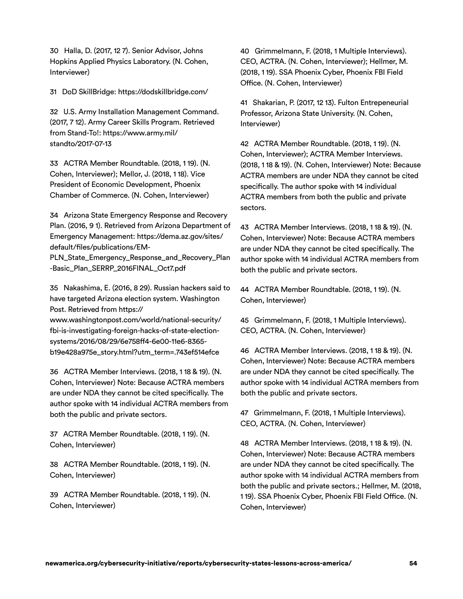30 Halla, D. (2017, 12 7). Senior Advisor, Johns Hopkins Applied Physics Laboratory. (N. Cohen, Interviewer)

31 DoD SkillBridge:<https://dodskillbridge.com/>

 32 U.S. Army Installation Management Command. (2017, 7 12). Army Career Skills Program. Retrieved from Stand-To!: [https://www.army.mil/](https://www.army.mil/standto/2017-07-13) [standto/2017-07-13](https://www.army.mil/standto/2017-07-13) 

 33 ACTRA Member Roundtable. (2018, 1 19). (N. Cohen, Interviewer); Mellor, J. (2018, 1 18). Vice President of Economic Development, Phoenix Chamber of Commerce. (N. Cohen, Interviewer)

 34 Arizona State Emergency Response and Recovery Plan. (2016, 9 1). Retrieved from Arizona Department of Emergency Management: [https://dema.az.gov/sites/](https://dema.az.gov/sites/default/%03files/publications/EM-PLN_State_Emergency_Response_and_Recovery_Plan-Basic_Plan_SERRP_2016FINAL_Oct7.pdf) default/files/publications/EM-

[PLN\\_State\\_Emergency\\_Response\\_and\\_Recovery\\_Plan](https://dema.az.gov/sites/default/%03files/publications/EM-PLN_State_Emergency_Response_and_Recovery_Plan-Basic_Plan_SERRP_2016FINAL_Oct7.pdf)  -Basic\_Plan\_SERRP\_2016FINAL\_Oct7.pdf

 35 Nakashima, E. (2016, 8 29). Russian hackers said to have targeted Arizona election system. Washington Post. Retrieved from [https://](https://www.washingtonpost.com/world/national-security/fbi-is-investigating-foreign-hacks-of-state-election-systems/2016/08/29/6e758%02ff4-6e00-11e6-8365-b19e428a975e_story.html)

[www.washingtonpost.com/world/national-security/](https://www.washingtonpost.com/world/national-security/fbi-is-investigating-foreign-hacks-of-state-election-systems/2016/08/29/6e758%02ff4-6e00-11e6-8365-b19e428a975e_story.html)  fbi-is-investigating-foreign-hacks-of-state-electionsystems/2016/08/29/6e758ff4-6e00-11e6-8365 b19e428a975e\_story.html?utm\_term=.743ef514efce

 36 ACTRA Member Interviews. (2018, 1 18 & 19). (N. Cohen, Interviewer) Note: Because ACTRA members are under NDA they cannot be cited specifically. The author spoke with 14 individual ACTRA members from both the public and private sectors.

 37 ACTRA Member Roundtable. (2018, 1 19). (N. Cohen, Interviewer)

 38 ACTRA Member Roundtable. (2018, 1 19). (N. Cohen, Interviewer)

 39 ACTRA Member Roundtable. (2018, 1 19). (N. Cohen, Interviewer)

 40 Grimmelmann, F. (2018, 1 Multiple Interviews). CEO, ACTRA. (N. Cohen, Interviewer); Hellmer, M. (2018, 1 19). SSA Phoenix Cyber, Phoenix FBI Field Office. (N. Cohen, Interviewer)

 41 Shakarian, P. (2017, 12 13). Fulton Entrepeneurial Professor, Arizona State University. (N. Cohen, Interviewer)

 42 ACTRA Member Roundtable. (2018, 1 19). (N. Cohen, Interviewer); ACTRA Member Interviews. (2018, 1 18 & 19). (N. Cohen, Interviewer) Note: Because ACTRA members are under NDA they cannot be cited specifically. The author spoke with 14 individual ACTRA members from both the public and private sectors.

 43 ACTRA Member Interviews. (2018, 1 18 & 19). (N. Cohen, Interviewer) Note: Because ACTRA members are under NDA they cannot be cited specifically. The author spoke with 14 individual ACTRA members from both the public and private sectors.

 44 ACTRA Member Roundtable. (2018, 1 19). (N. Cohen, Interviewer)

 45 Grimmelmann, F. (2018, 1 Multiple Interviews). CEO, ACTRA. (N. Cohen, Interviewer)

 46 ACTRA Member Interviews. (2018, 1 18 & 19). (N. Cohen, Interviewer) Note: Because ACTRA members are under NDA they cannot be cited specifically. The author spoke with 14 individual ACTRA members from both the public and private sectors.

 47 Grimmelmann, F. (2018, 1 Multiple Interviews). CEO, ACTRA. (N. Cohen, Interviewer)

 48 ACTRA Member Interviews. (2018, 1 18 & 19). (N. Cohen, Interviewer) Note: Because ACTRA members are under NDA they cannot be cited specifically. The author spoke with 14 individual ACTRA members from both the public and private sectors.; Hellmer, M. (2018, 1 19). SSA Phoenix Cyber, Phoenix FBI Field Office. (N. Cohen, Interviewer)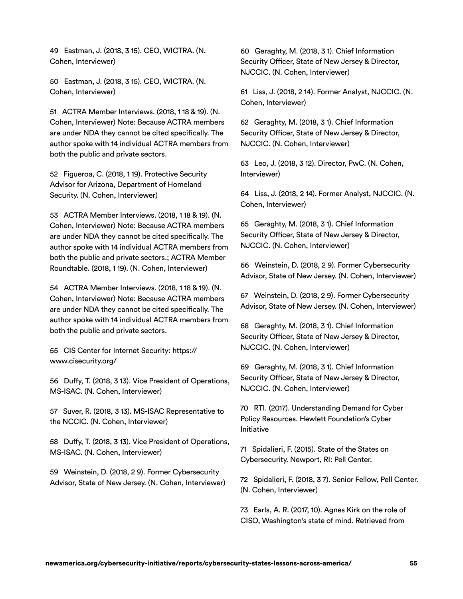49 Eastman, J. (2018, 3 15). CEO, WICTRA. (N. Cohen, Interviewer)

 50 Eastman, J. (2018, 3 15). CEO, WICTRA. (N. Cohen, Interviewer)

 51 ACTRA Member Interviews. (2018, 1 18 & 19). (N. Cohen, Interviewer) Note: Because ACTRA members are under NDA they cannot be cited specifically. The author spoke with 14 individual ACTRA members from both the public and private sectors.

 52 Figueroa, C. (2018, 1 19). Protective Security Advisor for Arizona, Department of Homeland Security. (N. Cohen, Interviewer)

 53 ACTRA Member Interviews. (2018, 1 18 & 19). (N. Cohen, Interviewer) Note: Because ACTRA members are under NDA they cannot be cited specifically. The author spoke with 14 individual ACTRA members from both the public and private sectors.; ACTRA Member Roundtable. (2018, 1 19). (N. Cohen, Interviewer)

 54 ACTRA Member Interviews. (2018, 1 18 & 19). (N. Cohen, Interviewer) Note: Because ACTRA members are under NDA they cannot be cited specifically. The author spoke with 14 individual ACTRA members from both the public and private sectors.

 55 CIS Center for Internet Security: [https://](https://www.cisecurity.org/)  [www.cisecurity.org/](https://www.cisecurity.org/) 

 56 Duffy, T. (2018, 3 13). Vice President of Operations, MS-ISAC. (N. Cohen, Interviewer)

 57 Suver, R. (2018, 3 13). MS-ISAC Representative to the NCCIC. (N. Cohen, Interviewer)

 58 Duffy, T. (2018, 3 13). Vice President of Operations, MS-ISAC. (N. Cohen, Interviewer)

 59 Weinstein, D. (2018, 2 9). Former Cybersecurity Advisor, State of New Jersey. (N. Cohen, Interviewer)  60 Geraghty, M. (2018, 3 1). Chief Information Security Officer, State of New Jersey & Director, NJCCIC. (N. Cohen, Interviewer)

 61 Liss, J. (2018, 2 14). Former Analyst, NJCCIC. (N. Cohen, Interviewer)

 62 Geraghty, M. (2018, 3 1). Chief Information Security Officer, State of New Jersey & Director, NJCCIC. (N. Cohen, Interviewer)

 63 Leo, J. (2018, 3 12). Director, PwC. (N. Cohen, Interviewer)

 64 Liss, J. (2018, 2 14). Former Analyst, NJCCIC. (N. Cohen, Interviewer)

 65 Geraghty, M. (2018, 3 1). Chief Information Security Officer, State of New Jersey & Director, NJCCIC. (N. Cohen, Interviewer)

 66 Weinstein, D. (2018, 2 9). Former Cybersecurity Advisor, State of New Jersey. (N. Cohen, Interviewer)

 67 Weinstein, D. (2018, 2 9). Former Cybersecurity Advisor, State of New Jersey. (N. Cohen, Interviewer)

 68 Geraghty, M. (2018, 3 1). Chief Information Security Officer, State of New Jersey & Director, NJCCIC. (N. Cohen, Interviewer)

 69 Geraghty, M. (2018, 3 1). Chief Information Security Officer, State of New Jersey & Director, NJCCIC. (N. Cohen, Interviewer)

 70 RTI. (2017). Understanding Demand for Cyber Policy Resources. Hewlett Foundation's Cyber Initiative

 71 Spidalieri, F. (2015). State of the States on Cybersecurity. Newport, RI: Pell Center.

 72 Spidalieri, F. (2018, 3 7). Senior Fellow, Pell Center. (N. Cohen, Interviewer)

 73 Earls, A. R. (2017, 10). Agnes Kirk on the role of CISO, Washington's state of mind. Retrieved from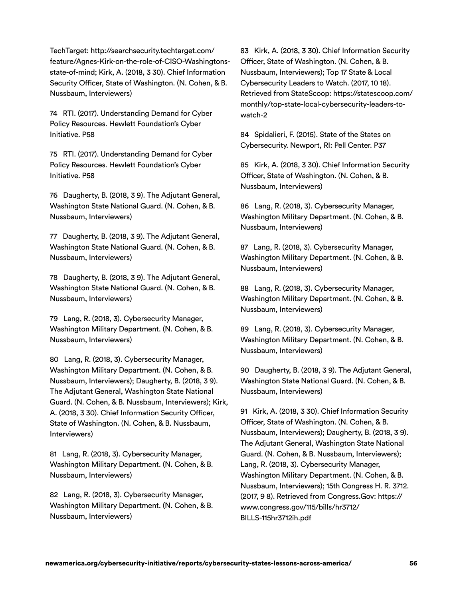[state-of-mind;](http://searchsecurity.techtarget.com/feature/Agnes-Kirk-on-the-role-of-CISO-Washingtons-state-of-mind) Kirk, A. (2018, 3 30). Chief Information Security Officer, State of Washington. (N. Cohen, & B. TechTarget: [http://searchsecurity.techtarget.com/](http://searchsecurity.techtarget.com/feature/Agnes-Kirk-on-the-role-of-CISO-Washingtons-state-of-mind) 83 Kirk, A. (2018, 3 30). Chief Information Security [feature/Agnes-Kirk-on-the-role-of-CISO-Washingtons-](http://searchsecurity.techtarget.com/feature/Agnes-Kirk-on-the-role-of-CISO-Washingtons-state-of-mind)Nussbaum, Interviewers)

 74 RTI. (2017). Understanding Demand for Cyber Policy Resources. Hewlett Foundation's Cyber Initiative. P58

 75 RTI. (2017). Understanding Demand for Cyber Policy Resources. Hewlett Foundation's Cyber Initiative. P58

 76 Daugherty, B. (2018, 3 9). The Adjutant General, Washington State National Guard. (N. Cohen, & B. Nussbaum, Interviewers)

 77 Daugherty, B. (2018, 3 9). The Adjutant General, Washington State National Guard. (N. Cohen, & B. Nussbaum, Interviewers)

 78 Daugherty, B. (2018, 3 9). The Adjutant General, Washington State National Guard. (N. Cohen, & B. Nussbaum, Interviewers)

 79 Lang, R. (2018, 3). Cybersecurity Manager, Washington Military Department. (N. Cohen, & B. Nussbaum, Interviewers)

 80 Lang, R. (2018, 3). Cybersecurity Manager, Washington Military Department. (N. Cohen, & B. Nussbaum, Interviewers); Daugherty, B. (2018, 3 9). The Adjutant General, Washington State National Guard. (N. Cohen, & B. Nussbaum, Interviewers); Kirk, A. (2018, 3 30). Chief Information Security Officer, State of Washington. (N. Cohen, & B. Nussbaum, Interviewers)

 81 Lang, R. (2018, 3). Cybersecurity Manager, Washington Military Department. (N. Cohen, & B. Nussbaum, Interviewers)

 82 Lang, R. (2018, 3). Cybersecurity Manager, Washington Military Department. (N. Cohen, & B. Nussbaum, Interviewers)

 Officer, State of Washington. (N. Cohen, & B. Nussbaum, Interviewers); Top 17 State & Local Cybersecurity Leaders to Watch. (2017, 10 18). Retrieved from StateScoop[: https://statescoop.com/](https://statescoop.com/monthly/top-state-local-cybersecurity-leaders-to-watch-2) [monthly/top-state-local-cybersecurity-leaders-to](https://statescoop.com/monthly/top-state-local-cybersecurity-leaders-to-watch-2)watch-2

 84 Spidalieri, F. (2015). State of the States on Cybersecurity. Newport, RI: Pell Center. P37

 85 Kirk, A. (2018, 3 30). Chief Information Security Officer, State of Washington. (N. Cohen, & B. Nussbaum, Interviewers)

 86 Lang, R. (2018, 3). Cybersecurity Manager, Washington Military Department. (N. Cohen, & B. Nussbaum, Interviewers)

 87 Lang, R. (2018, 3). Cybersecurity Manager, Washington Military Department. (N. Cohen, & B. Nussbaum, Interviewers)

 88 Lang, R. (2018, 3). Cybersecurity Manager, Washington Military Department. (N. Cohen, & B. Nussbaum, Interviewers)

 89 Lang, R. (2018, 3). Cybersecurity Manager, Washington Military Department. (N. Cohen, & B. Nussbaum, Interviewers)

 90 Daugherty, B. (2018, 3 9). The Adjutant General, Washington State National Guard. (N. Cohen, & B. Nussbaum, Interviewers)

 91 Kirk, A. (2018, 3 30). Chief Information Security Officer, State of Washington. (N. Cohen, & B. Nussbaum, Interviewers); Daugherty, B. (2018, 3 9). The Adjutant General, Washington State National Guard. (N. Cohen, & B. Nussbaum, Interviewers); Lang, R. (2018, 3). Cybersecurity Manager, Washington Military Department. (N. Cohen, & B. Nussbaum, Interviewers); 15th Congress H. R. 3712. (2017, 9 8). Retrieved from Congress.Gov: [https://](https://www.congress.gov/115/bills/hr3712/BILLS-115hr3712ih.pdf) [www.congress.gov/115/bills/hr3712/](https://www.congress.gov/115/bills/hr3712/BILLS-115hr3712ih.pdf)  BILLS-115hr3712ih.pdf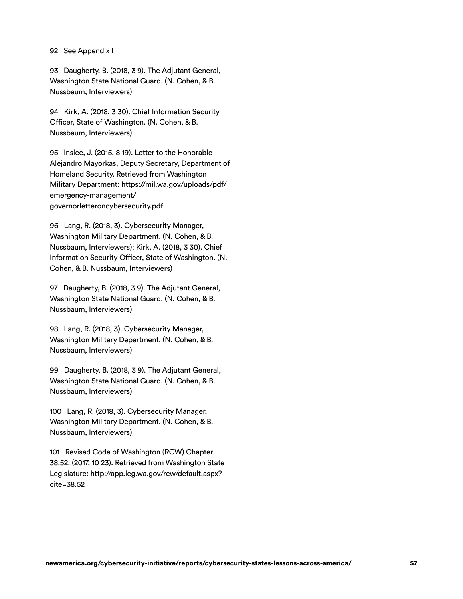#### 92 See Appendix I

 93 Daugherty, B. (2018, 3 9). The Adjutant General, Washington State National Guard. (N. Cohen, & B. Nussbaum, Interviewers)

 94 Kirk, A. (2018, 3 30). Chief Information Security Officer, State of Washington. (N. Cohen, & B. Nussbaum, Interviewers)

 95 Inslee, J. (2015, 8 19). Letter to the Honorable Alejandro Mayorkas, Deputy Secretary, Department of Homeland Security. Retrieved from Washington Military Department[: https://mil.wa.gov/uploads/pdf/](https://mil.wa.gov/uploads/pdf/emergency-management/governorletteroncybersecurity.pdf)  emergency-management/ [governorletteroncybersecurity.pdf](https://mil.wa.gov/uploads/pdf/emergency-management/governorletteroncybersecurity.pdf) 

 96 Lang, R. (2018, 3). Cybersecurity Manager, Washington Military Department. (N. Cohen, & B. Nussbaum, Interviewers); Kirk, A. (2018, 3 30). Chief Information Security Officer, State of Washington. (N. Cohen, & B. Nussbaum, Interviewers)

 97 Daugherty, B. (2018, 3 9). The Adjutant General, Washington State National Guard. (N. Cohen, & B. Nussbaum, Interviewers)

 98 Lang, R. (2018, 3). Cybersecurity Manager, Washington Military Department. (N. Cohen, & B. Nussbaum, Interviewers)

 99 Daugherty, B. (2018, 3 9). The Adjutant General, Washington State National Guard. (N. Cohen, & B. Nussbaum, Interviewers)

 100 Lang, R. (2018, 3). Cybersecurity Manager, Washington Military Department. (N. Cohen, & B. Nussbaum, Interviewers)

 101 Revised Code of Washington (RCW) Chapter 38.52. (2017, 10 23). Retrieved from Washington State Legislature[: http://app.leg.wa.gov/rcw/default.aspx?](http://app.leg.wa.gov/rcw/default.aspx?cite=38.52)  [cite=38.52](http://app.leg.wa.gov/rcw/default.aspx?cite=38.52)